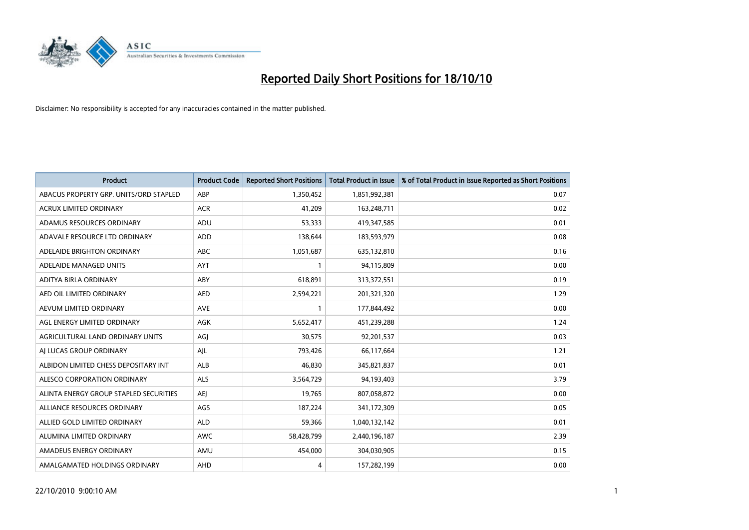

| <b>Product</b>                         | <b>Product Code</b> | <b>Reported Short Positions</b> | <b>Total Product in Issue</b> | % of Total Product in Issue Reported as Short Positions |
|----------------------------------------|---------------------|---------------------------------|-------------------------------|---------------------------------------------------------|
| ABACUS PROPERTY GRP. UNITS/ORD STAPLED | ABP                 | 1,350,452                       | 1,851,992,381                 | 0.07                                                    |
| ACRUX LIMITED ORDINARY                 | <b>ACR</b>          | 41,209                          | 163,248,711                   | 0.02                                                    |
| ADAMUS RESOURCES ORDINARY              | <b>ADU</b>          | 53,333                          | 419,347,585                   | 0.01                                                    |
| ADAVALE RESOURCE LTD ORDINARY          | ADD                 | 138,644                         | 183,593,979                   | 0.08                                                    |
| ADELAIDE BRIGHTON ORDINARY             | <b>ABC</b>          | 1,051,687                       | 635,132,810                   | 0.16                                                    |
| ADELAIDE MANAGED UNITS                 | AYT                 |                                 | 94,115,809                    | 0.00                                                    |
| ADITYA BIRLA ORDINARY                  | ABY                 | 618.891                         | 313,372,551                   | 0.19                                                    |
| AED OIL LIMITED ORDINARY               | <b>AED</b>          | 2,594,221                       | 201,321,320                   | 1.29                                                    |
| AEVUM LIMITED ORDINARY                 | <b>AVE</b>          |                                 | 177,844,492                   | 0.00                                                    |
| AGL ENERGY LIMITED ORDINARY            | <b>AGK</b>          | 5,652,417                       | 451,239,288                   | 1.24                                                    |
| AGRICULTURAL LAND ORDINARY UNITS       | AGJ                 | 30,575                          | 92,201,537                    | 0.03                                                    |
| AI LUCAS GROUP ORDINARY                | AJL                 | 793,426                         | 66,117,664                    | 1.21                                                    |
| ALBIDON LIMITED CHESS DEPOSITARY INT   | ALB                 | 46,830                          | 345,821,837                   | 0.01                                                    |
| ALESCO CORPORATION ORDINARY            | <b>ALS</b>          | 3,564,729                       | 94,193,403                    | 3.79                                                    |
| ALINTA ENERGY GROUP STAPLED SECURITIES | <b>AEI</b>          | 19,765                          | 807,058,872                   | 0.00                                                    |
| ALLIANCE RESOURCES ORDINARY            | AGS                 | 187,224                         | 341,172,309                   | 0.05                                                    |
| ALLIED GOLD LIMITED ORDINARY           | <b>ALD</b>          | 59,366                          | 1,040,132,142                 | 0.01                                                    |
| ALUMINA LIMITED ORDINARY               | <b>AWC</b>          | 58,428,799                      | 2,440,196,187                 | 2.39                                                    |
| AMADEUS ENERGY ORDINARY                | AMU                 | 454,000                         | 304,030,905                   | 0.15                                                    |
| AMALGAMATED HOLDINGS ORDINARY          | AHD                 | 4                               | 157,282,199                   | 0.00                                                    |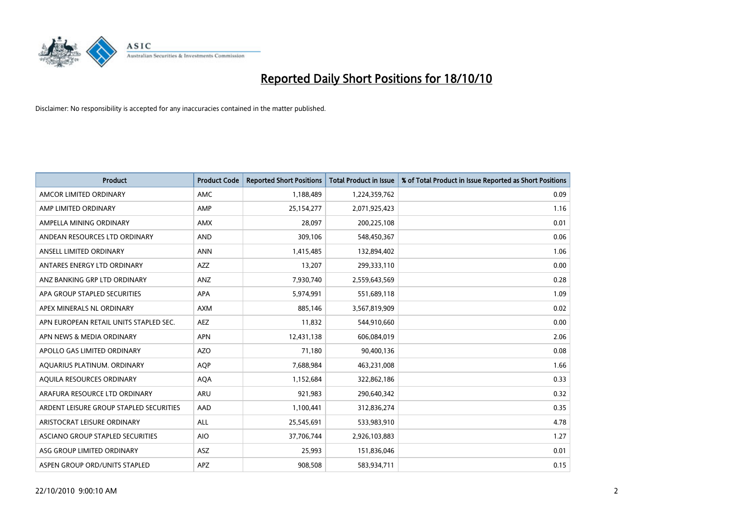

| <b>Product</b>                          | <b>Product Code</b> | <b>Reported Short Positions</b> | <b>Total Product in Issue</b> | % of Total Product in Issue Reported as Short Positions |
|-----------------------------------------|---------------------|---------------------------------|-------------------------------|---------------------------------------------------------|
| AMCOR LIMITED ORDINARY                  | <b>AMC</b>          | 1,188,489                       | 1,224,359,762                 | 0.09                                                    |
| AMP LIMITED ORDINARY                    | AMP                 | 25,154,277                      | 2,071,925,423                 | 1.16                                                    |
| AMPELLA MINING ORDINARY                 | <b>AMX</b>          | 28.097                          | 200,225,108                   | 0.01                                                    |
| ANDEAN RESOURCES LTD ORDINARY           | <b>AND</b>          | 309,106                         | 548,450,367                   | 0.06                                                    |
| ANSELL LIMITED ORDINARY                 | <b>ANN</b>          | 1,415,485                       | 132,894,402                   | 1.06                                                    |
| ANTARES ENERGY LTD ORDINARY             | <b>AZZ</b>          | 13,207                          | 299,333,110                   | 0.00                                                    |
| ANZ BANKING GRP LTD ORDINARY            | ANZ                 | 7,930,740                       | 2,559,643,569                 | 0.28                                                    |
| APA GROUP STAPLED SECURITIES            | <b>APA</b>          | 5,974,991                       | 551,689,118                   | 1.09                                                    |
| APEX MINERALS NL ORDINARY               | <b>AXM</b>          | 885.146                         | 3,567,819,909                 | 0.02                                                    |
| APN EUROPEAN RETAIL UNITS STAPLED SEC.  | <b>AEZ</b>          | 11,832                          | 544,910,660                   | 0.00                                                    |
| APN NEWS & MEDIA ORDINARY               | <b>APN</b>          | 12,431,138                      | 606,084,019                   | 2.06                                                    |
| APOLLO GAS LIMITED ORDINARY             | <b>AZO</b>          | 71,180                          | 90,400,136                    | 0.08                                                    |
| AQUARIUS PLATINUM. ORDINARY             | <b>AOP</b>          | 7,688,984                       | 463,231,008                   | 1.66                                                    |
| AQUILA RESOURCES ORDINARY               | <b>AQA</b>          | 1,152,684                       | 322,862,186                   | 0.33                                                    |
| ARAFURA RESOURCE LTD ORDINARY           | <b>ARU</b>          | 921,983                         | 290,640,342                   | 0.32                                                    |
| ARDENT LEISURE GROUP STAPLED SECURITIES | AAD                 | 1,100,441                       | 312,836,274                   | 0.35                                                    |
| ARISTOCRAT LEISURE ORDINARY             | ALL                 | 25,545,691                      | 533,983,910                   | 4.78                                                    |
| ASCIANO GROUP STAPLED SECURITIES        | <b>AIO</b>          | 37,706,744                      | 2,926,103,883                 | 1.27                                                    |
| ASG GROUP LIMITED ORDINARY              | <b>ASZ</b>          | 25,993                          | 151,836,046                   | 0.01                                                    |
| ASPEN GROUP ORD/UNITS STAPLED           | <b>APZ</b>          | 908,508                         | 583,934,711                   | 0.15                                                    |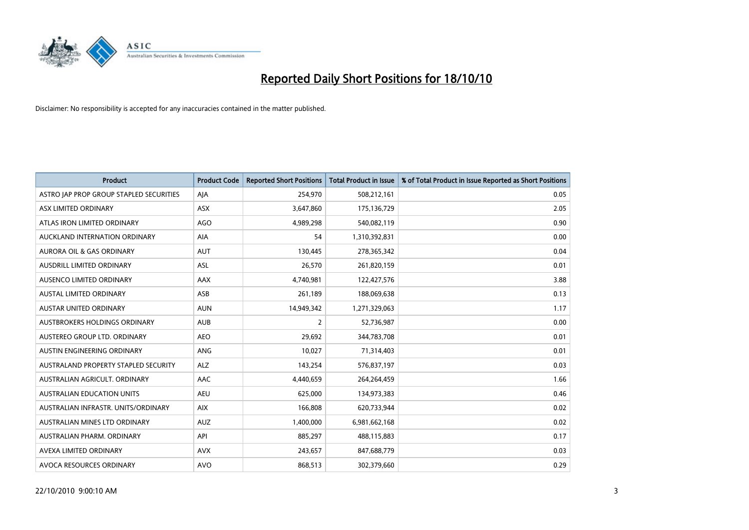

| <b>Product</b>                          | <b>Product Code</b> | <b>Reported Short Positions</b> | <b>Total Product in Issue</b> | % of Total Product in Issue Reported as Short Positions |
|-----------------------------------------|---------------------|---------------------------------|-------------------------------|---------------------------------------------------------|
| ASTRO JAP PROP GROUP STAPLED SECURITIES | AJA                 | 254,970                         | 508,212,161                   | 0.05                                                    |
| ASX LIMITED ORDINARY                    | <b>ASX</b>          | 3,647,860                       | 175,136,729                   | 2.05                                                    |
| ATLAS IRON LIMITED ORDINARY             | <b>AGO</b>          | 4,989,298                       | 540,082,119                   | 0.90                                                    |
| AUCKLAND INTERNATION ORDINARY           | AIA                 | 54                              | 1,310,392,831                 | 0.00                                                    |
| <b>AURORA OIL &amp; GAS ORDINARY</b>    | <b>AUT</b>          | 130,445                         | 278,365,342                   | 0.04                                                    |
| <b>AUSDRILL LIMITED ORDINARY</b>        | <b>ASL</b>          | 26,570                          | 261,820,159                   | 0.01                                                    |
| AUSENCO LIMITED ORDINARY                | <b>AAX</b>          | 4,740,981                       | 122,427,576                   | 3.88                                                    |
| <b>AUSTAL LIMITED ORDINARY</b>          | ASB                 | 261,189                         | 188,069,638                   | 0.13                                                    |
| AUSTAR UNITED ORDINARY                  | <b>AUN</b>          | 14,949,342                      | 1,271,329,063                 | 1.17                                                    |
| AUSTBROKERS HOLDINGS ORDINARY           | <b>AUB</b>          | 2                               | 52,736,987                    | 0.00                                                    |
| AUSTEREO GROUP LTD. ORDINARY            | <b>AEO</b>          | 29,692                          | 344,783,708                   | 0.01                                                    |
| AUSTIN ENGINEERING ORDINARY             | ANG                 | 10,027                          | 71,314,403                    | 0.01                                                    |
| AUSTRALAND PROPERTY STAPLED SECURITY    | <b>ALZ</b>          | 143,254                         | 576,837,197                   | 0.03                                                    |
| AUSTRALIAN AGRICULT, ORDINARY           | <b>AAC</b>          | 4,440,659                       | 264,264,459                   | 1.66                                                    |
| <b>AUSTRALIAN EDUCATION UNITS</b>       | <b>AEU</b>          | 625,000                         | 134,973,383                   | 0.46                                                    |
| AUSTRALIAN INFRASTR, UNITS/ORDINARY     | <b>AIX</b>          | 166,808                         | 620,733,944                   | 0.02                                                    |
| AUSTRALIAN MINES LTD ORDINARY           | <b>AUZ</b>          | 1,400,000                       | 6,981,662,168                 | 0.02                                                    |
| AUSTRALIAN PHARM. ORDINARY              | API                 | 885,297                         | 488,115,883                   | 0.17                                                    |
| AVEXA LIMITED ORDINARY                  | <b>AVX</b>          | 243,657                         | 847,688,779                   | 0.03                                                    |
| AVOCA RESOURCES ORDINARY                | <b>AVO</b>          | 868,513                         | 302,379,660                   | 0.29                                                    |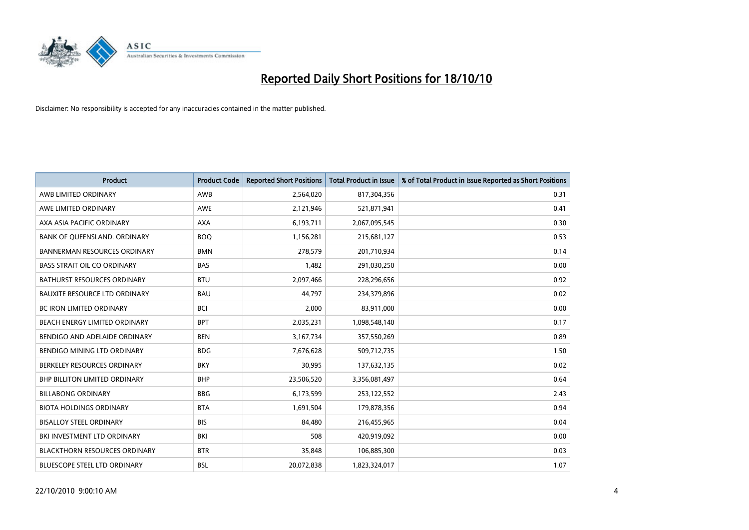

| <b>Product</b>                       | <b>Product Code</b> | <b>Reported Short Positions</b> | Total Product in Issue | % of Total Product in Issue Reported as Short Positions |
|--------------------------------------|---------------------|---------------------------------|------------------------|---------------------------------------------------------|
| AWB LIMITED ORDINARY                 | AWB                 | 2,564,020                       | 817,304,356            | 0.31                                                    |
| AWE LIMITED ORDINARY                 | AWE                 | 2,121,946                       | 521,871,941            | 0.41                                                    |
| AXA ASIA PACIFIC ORDINARY            | <b>AXA</b>          | 6,193,711                       | 2,067,095,545          | 0.30                                                    |
| BANK OF QUEENSLAND. ORDINARY         | <b>BOO</b>          | 1,156,281                       | 215,681,127            | 0.53                                                    |
| <b>BANNERMAN RESOURCES ORDINARY</b>  | <b>BMN</b>          | 278,579                         | 201,710,934            | 0.14                                                    |
| <b>BASS STRAIT OIL CO ORDINARY</b>   | <b>BAS</b>          | 1,482                           | 291,030,250            | 0.00                                                    |
| BATHURST RESOURCES ORDINARY          | <b>BTU</b>          | 2,097,466                       | 228,296,656            | 0.92                                                    |
| <b>BAUXITE RESOURCE LTD ORDINARY</b> | <b>BAU</b>          | 44,797                          | 234,379,896            | 0.02                                                    |
| BC IRON LIMITED ORDINARY             | <b>BCI</b>          | 2,000                           | 83,911,000             | 0.00                                                    |
| BEACH ENERGY LIMITED ORDINARY        | <b>BPT</b>          | 2,035,231                       | 1,098,548,140          | 0.17                                                    |
| BENDIGO AND ADELAIDE ORDINARY        | <b>BEN</b>          | 3,167,734                       | 357,550,269            | 0.89                                                    |
| BENDIGO MINING LTD ORDINARY          | <b>BDG</b>          | 7,676,628                       | 509,712,735            | 1.50                                                    |
| BERKELEY RESOURCES ORDINARY          | <b>BKY</b>          | 30,995                          | 137,632,135            | 0.02                                                    |
| <b>BHP BILLITON LIMITED ORDINARY</b> | <b>BHP</b>          | 23,506,520                      | 3,356,081,497          | 0.64                                                    |
| <b>BILLABONG ORDINARY</b>            | <b>BBG</b>          | 6,173,599                       | 253,122,552            | 2.43                                                    |
| <b>BIOTA HOLDINGS ORDINARY</b>       | <b>BTA</b>          | 1,691,504                       | 179,878,356            | 0.94                                                    |
| <b>BISALLOY STEEL ORDINARY</b>       | <b>BIS</b>          | 84,480                          | 216,455,965            | 0.04                                                    |
| <b>BKI INVESTMENT LTD ORDINARY</b>   | BKI                 | 508                             | 420,919,092            | 0.00                                                    |
| <b>BLACKTHORN RESOURCES ORDINARY</b> | <b>BTR</b>          | 35,848                          | 106,885,300            | 0.03                                                    |
| <b>BLUESCOPE STEEL LTD ORDINARY</b>  | <b>BSL</b>          | 20,072,838                      | 1,823,324,017          | 1.07                                                    |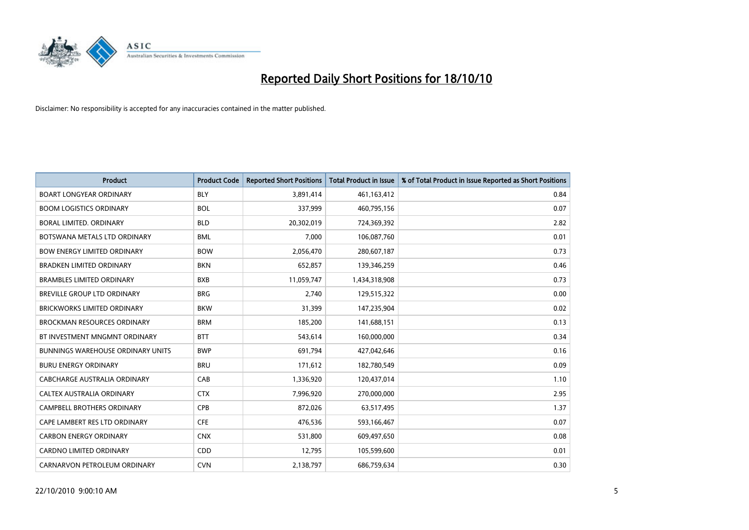

| <b>Product</b>                           | <b>Product Code</b> | <b>Reported Short Positions</b> | <b>Total Product in Issue</b> | % of Total Product in Issue Reported as Short Positions |
|------------------------------------------|---------------------|---------------------------------|-------------------------------|---------------------------------------------------------|
| <b>BOART LONGYEAR ORDINARY</b>           | <b>BLY</b>          | 3,891,414                       | 461,163,412                   | 0.84                                                    |
| <b>BOOM LOGISTICS ORDINARY</b>           | <b>BOL</b>          | 337,999                         | 460,795,156                   | 0.07                                                    |
| BORAL LIMITED, ORDINARY                  | <b>BLD</b>          | 20,302,019                      | 724,369,392                   | 2.82                                                    |
| BOTSWANA METALS LTD ORDINARY             | <b>BML</b>          | 7,000                           | 106,087,760                   | 0.01                                                    |
| <b>BOW ENERGY LIMITED ORDINARY</b>       | <b>BOW</b>          | 2,056,470                       | 280,607,187                   | 0.73                                                    |
| <b>BRADKEN LIMITED ORDINARY</b>          | <b>BKN</b>          | 652,857                         | 139,346,259                   | 0.46                                                    |
| <b>BRAMBLES LIMITED ORDINARY</b>         | <b>BXB</b>          | 11,059,747                      | 1,434,318,908                 | 0.73                                                    |
| BREVILLE GROUP LTD ORDINARY              | <b>BRG</b>          | 2,740                           | 129,515,322                   | 0.00                                                    |
| <b>BRICKWORKS LIMITED ORDINARY</b>       | <b>BKW</b>          | 31,399                          | 147,235,904                   | 0.02                                                    |
| <b>BROCKMAN RESOURCES ORDINARY</b>       | <b>BRM</b>          | 185,200                         | 141,688,151                   | 0.13                                                    |
| BT INVESTMENT MNGMNT ORDINARY            | <b>BTT</b>          | 543,614                         | 160,000,000                   | 0.34                                                    |
| <b>BUNNINGS WAREHOUSE ORDINARY UNITS</b> | <b>BWP</b>          | 691,794                         | 427,042,646                   | 0.16                                                    |
| <b>BURU ENERGY ORDINARY</b>              | <b>BRU</b>          | 171,612                         | 182,780,549                   | 0.09                                                    |
| CABCHARGE AUSTRALIA ORDINARY             | CAB                 | 1,336,920                       | 120,437,014                   | 1.10                                                    |
| CALTEX AUSTRALIA ORDINARY                | <b>CTX</b>          | 7,996,920                       | 270,000,000                   | 2.95                                                    |
| <b>CAMPBELL BROTHERS ORDINARY</b>        | <b>CPB</b>          | 872,026                         | 63,517,495                    | 1.37                                                    |
| CAPE LAMBERT RES LTD ORDINARY            | <b>CFE</b>          | 476,536                         | 593,166,467                   | 0.07                                                    |
| <b>CARBON ENERGY ORDINARY</b>            | <b>CNX</b>          | 531,800                         | 609,497,650                   | 0.08                                                    |
| <b>CARDNO LIMITED ORDINARY</b>           | CDD                 | 12,795                          | 105,599,600                   | 0.01                                                    |
| CARNARVON PETROLEUM ORDINARY             | <b>CVN</b>          | 2,138,797                       | 686,759,634                   | 0.30                                                    |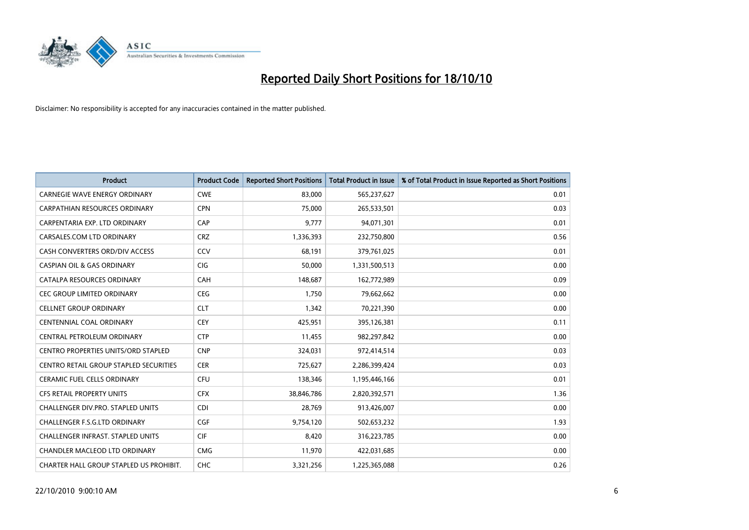

| <b>Product</b>                                | <b>Product Code</b> | <b>Reported Short Positions</b> | <b>Total Product in Issue</b> | % of Total Product in Issue Reported as Short Positions |
|-----------------------------------------------|---------------------|---------------------------------|-------------------------------|---------------------------------------------------------|
| CARNEGIE WAVE ENERGY ORDINARY                 | <b>CWE</b>          | 83,000                          | 565,237,627                   | 0.01                                                    |
| CARPATHIAN RESOURCES ORDINARY                 | <b>CPN</b>          | 75,000                          | 265,533,501                   | 0.03                                                    |
| CARPENTARIA EXP. LTD ORDINARY                 | CAP                 | 9,777                           | 94,071,301                    | 0.01                                                    |
| CARSALES.COM LTD ORDINARY                     | <b>CRZ</b>          | 1,336,393                       | 232,750,800                   | 0.56                                                    |
| CASH CONVERTERS ORD/DIV ACCESS                | CCV                 | 68,191                          | 379,761,025                   | 0.01                                                    |
| <b>CASPIAN OIL &amp; GAS ORDINARY</b>         | <b>CIG</b>          | 50,000                          | 1,331,500,513                 | 0.00                                                    |
| CATALPA RESOURCES ORDINARY                    | CAH                 | 148,687                         | 162,772,989                   | 0.09                                                    |
| <b>CEC GROUP LIMITED ORDINARY</b>             | <b>CEG</b>          | 1,750                           | 79,662,662                    | 0.00                                                    |
| <b>CELLNET GROUP ORDINARY</b>                 | <b>CLT</b>          | 1,342                           | 70,221,390                    | 0.00                                                    |
| CENTENNIAL COAL ORDINARY                      | <b>CEY</b>          | 425,951                         | 395,126,381                   | 0.11                                                    |
| CENTRAL PETROLEUM ORDINARY                    | <b>CTP</b>          | 11,455                          | 982,297,842                   | 0.00                                                    |
| <b>CENTRO PROPERTIES UNITS/ORD STAPLED</b>    | <b>CNP</b>          | 324,031                         | 972,414,514                   | 0.03                                                    |
| <b>CENTRO RETAIL GROUP STAPLED SECURITIES</b> | <b>CER</b>          | 725,627                         | 2,286,399,424                 | 0.03                                                    |
| <b>CERAMIC FUEL CELLS ORDINARY</b>            | CFU                 | 138,346                         | 1,195,446,166                 | 0.01                                                    |
| <b>CFS RETAIL PROPERTY UNITS</b>              | <b>CFX</b>          | 38,846,786                      | 2,820,392,571                 | 1.36                                                    |
| CHALLENGER DIV.PRO. STAPLED UNITS             | <b>CDI</b>          | 28,769                          | 913,426,007                   | 0.00                                                    |
| <b>CHALLENGER F.S.G.LTD ORDINARY</b>          | CGF                 | 9,754,120                       | 502,653,232                   | 1.93                                                    |
| CHALLENGER INFRAST. STAPLED UNITS             | <b>CIF</b>          | 8,420                           | 316,223,785                   | 0.00                                                    |
| <b>CHANDLER MACLEOD LTD ORDINARY</b>          | <b>CMG</b>          | 11,970                          | 422,031,685                   | 0.00                                                    |
| CHARTER HALL GROUP STAPLED US PROHIBIT.       | CHC                 | 3,321,256                       | 1,225,365,088                 | 0.26                                                    |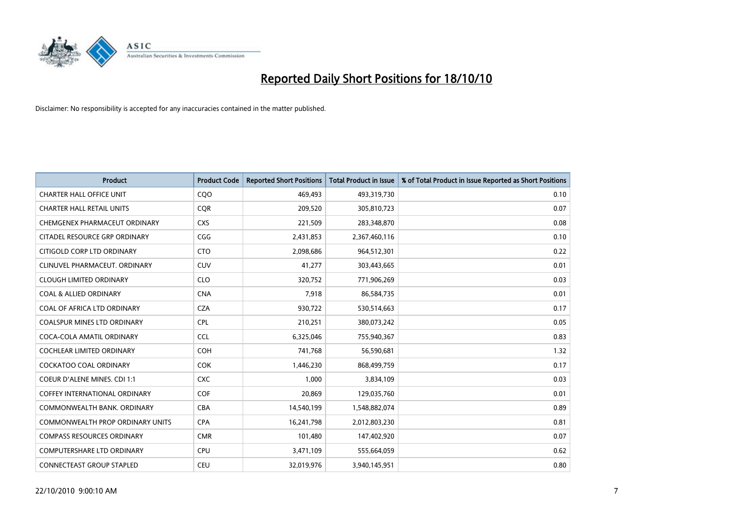

| <b>Product</b>                       | <b>Product Code</b> | <b>Reported Short Positions</b> | <b>Total Product in Issue</b> | % of Total Product in Issue Reported as Short Positions |
|--------------------------------------|---------------------|---------------------------------|-------------------------------|---------------------------------------------------------|
| <b>CHARTER HALL OFFICE UNIT</b>      | COO                 | 469,493                         | 493,319,730                   | 0.10                                                    |
| <b>CHARTER HALL RETAIL UNITS</b>     | <b>COR</b>          | 209,520                         | 305,810,723                   | 0.07                                                    |
| CHEMGENEX PHARMACEUT ORDINARY        | <b>CXS</b>          | 221,509                         | 283,348,870                   | 0.08                                                    |
| CITADEL RESOURCE GRP ORDINARY        | CGG                 | 2,431,853                       | 2,367,460,116                 | 0.10                                                    |
| CITIGOLD CORP LTD ORDINARY           | <b>CTO</b>          | 2,098,686                       | 964,512,301                   | 0.22                                                    |
| CLINUVEL PHARMACEUT, ORDINARY        | CUV                 | 41,277                          | 303,443,665                   | 0.01                                                    |
| <b>CLOUGH LIMITED ORDINARY</b>       | <b>CLO</b>          | 320,752                         | 771,906,269                   | 0.03                                                    |
| <b>COAL &amp; ALLIED ORDINARY</b>    | <b>CNA</b>          | 7,918                           | 86,584,735                    | 0.01                                                    |
| COAL OF AFRICA LTD ORDINARY          | <b>CZA</b>          | 930,722                         | 530,514,663                   | 0.17                                                    |
| <b>COALSPUR MINES LTD ORDINARY</b>   | <b>CPL</b>          | 210,251                         | 380,073,242                   | 0.05                                                    |
| COCA-COLA AMATIL ORDINARY            | <b>CCL</b>          | 6,325,046                       | 755,940,367                   | 0.83                                                    |
| <b>COCHLEAR LIMITED ORDINARY</b>     | <b>COH</b>          | 741,768                         | 56,590,681                    | 1.32                                                    |
| COCKATOO COAL ORDINARY               | <b>COK</b>          | 1,446,230                       | 868,499,759                   | 0.17                                                    |
| COEUR D'ALENE MINES. CDI 1:1         | <b>CXC</b>          | 1,000                           | 3,834,109                     | 0.03                                                    |
| <b>COFFEY INTERNATIONAL ORDINARY</b> | COF                 | 20,869                          | 129,035,760                   | 0.01                                                    |
| COMMONWEALTH BANK, ORDINARY          | CBA                 | 14,540,199                      | 1,548,882,074                 | 0.89                                                    |
| COMMONWEALTH PROP ORDINARY UNITS     | <b>CPA</b>          | 16,241,798                      | 2,012,803,230                 | 0.81                                                    |
| <b>COMPASS RESOURCES ORDINARY</b>    | <b>CMR</b>          | 101,480                         | 147,402,920                   | 0.07                                                    |
| <b>COMPUTERSHARE LTD ORDINARY</b>    | <b>CPU</b>          | 3,471,109                       | 555,664,059                   | 0.62                                                    |
| CONNECTEAST GROUP STAPLED            | CEU                 | 32,019,976                      | 3,940,145,951                 | 0.80                                                    |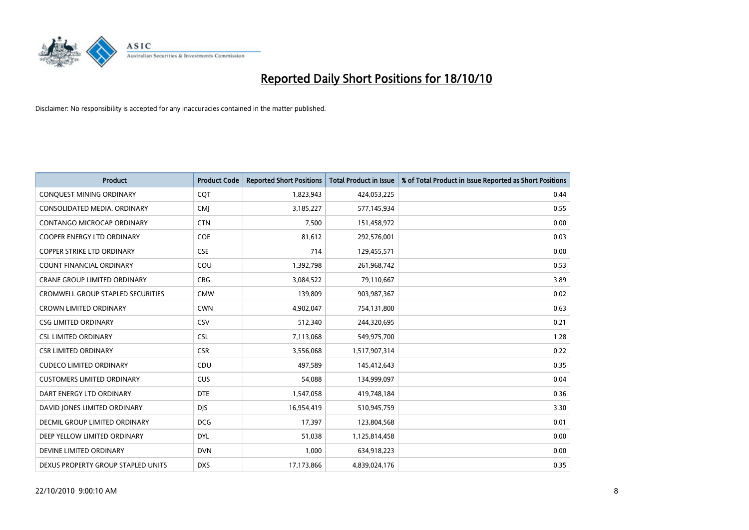

| <b>Product</b>                      | <b>Product Code</b> | <b>Reported Short Positions</b> | Total Product in Issue | % of Total Product in Issue Reported as Short Positions |
|-------------------------------------|---------------------|---------------------------------|------------------------|---------------------------------------------------------|
| CONQUEST MINING ORDINARY            | CQT                 | 1,823,943                       | 424,053,225            | 0.44                                                    |
| CONSOLIDATED MEDIA. ORDINARY        | <b>CMI</b>          | 3,185,227                       | 577,145,934            | 0.55                                                    |
| <b>CONTANGO MICROCAP ORDINARY</b>   | <b>CTN</b>          | 7,500                           | 151,458,972            | 0.00                                                    |
| COOPER ENERGY LTD ORDINARY          | <b>COE</b>          | 81,612                          | 292,576,001            | 0.03                                                    |
| <b>COPPER STRIKE LTD ORDINARY</b>   | <b>CSE</b>          | 714                             | 129,455,571            | 0.00                                                    |
| <b>COUNT FINANCIAL ORDINARY</b>     | COU                 | 1,392,798                       | 261,968,742            | 0.53                                                    |
| <b>CRANE GROUP LIMITED ORDINARY</b> | <b>CRG</b>          | 3,084,522                       | 79,110,667             | 3.89                                                    |
| CROMWELL GROUP STAPLED SECURITIES   | <b>CMW</b>          | 139,809                         | 903,987,367            | 0.02                                                    |
| <b>CROWN LIMITED ORDINARY</b>       | <b>CWN</b>          | 4,902,047                       | 754,131,800            | 0.63                                                    |
| <b>CSG LIMITED ORDINARY</b>         | CSV                 | 512,340                         | 244,320,695            | 0.21                                                    |
| <b>CSL LIMITED ORDINARY</b>         | <b>CSL</b>          | 7,113,068                       | 549,975,700            | 1.28                                                    |
| <b>CSR LIMITED ORDINARY</b>         | <b>CSR</b>          | 3,556,068                       | 1,517,907,314          | 0.22                                                    |
| <b>CUDECO LIMITED ORDINARY</b>      | CDU                 | 497,589                         | 145,412,643            | 0.35                                                    |
| <b>CUSTOMERS LIMITED ORDINARY</b>   | CUS                 | 54,088                          | 134,999,097            | 0.04                                                    |
| DART ENERGY LTD ORDINARY            | <b>DTE</b>          | 1,547,058                       | 419,748,184            | 0.36                                                    |
| DAVID JONES LIMITED ORDINARY        | <b>DIS</b>          | 16,954,419                      | 510,945,759            | 3.30                                                    |
| DECMIL GROUP LIMITED ORDINARY       | <b>DCG</b>          | 17,397                          | 123,804,568            | 0.01                                                    |
| DEEP YELLOW LIMITED ORDINARY        | <b>DYL</b>          | 51,038                          | 1,125,814,458          | 0.00                                                    |
| DEVINE LIMITED ORDINARY             | <b>DVN</b>          | 1,000                           | 634,918,223            | 0.00                                                    |
| DEXUS PROPERTY GROUP STAPLED UNITS  | <b>DXS</b>          | 17,173,866                      | 4,839,024,176          | 0.35                                                    |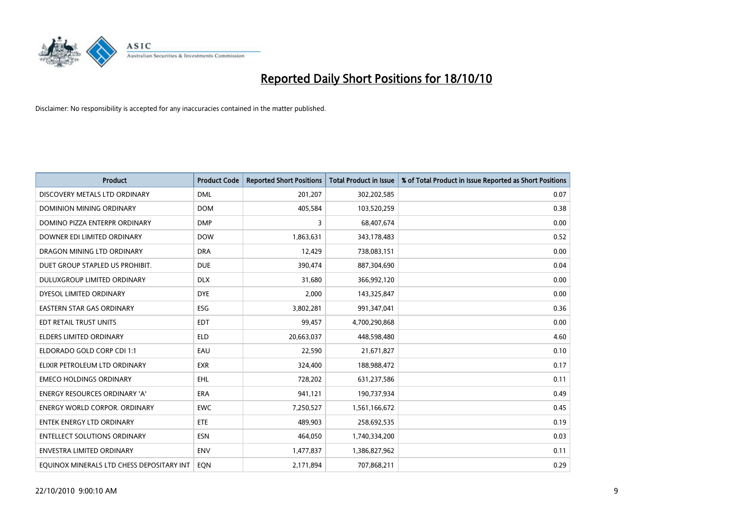

| <b>Product</b>                            | <b>Product Code</b> | <b>Reported Short Positions</b> | <b>Total Product in Issue</b> | % of Total Product in Issue Reported as Short Positions |
|-------------------------------------------|---------------------|---------------------------------|-------------------------------|---------------------------------------------------------|
| DISCOVERY METALS LTD ORDINARY             | <b>DML</b>          | 201,207                         | 302,202,585                   | 0.07                                                    |
| <b>DOMINION MINING ORDINARY</b>           | <b>DOM</b>          | 405,584                         | 103,520,259                   | 0.38                                                    |
| DOMINO PIZZA ENTERPR ORDINARY             | <b>DMP</b>          | 3                               | 68,407,674                    | 0.00                                                    |
| DOWNER EDI LIMITED ORDINARY               | <b>DOW</b>          | 1,863,631                       | 343,178,483                   | 0.52                                                    |
| DRAGON MINING LTD ORDINARY                | <b>DRA</b>          | 12,429                          | 738,083,151                   | 0.00                                                    |
| DUET GROUP STAPLED US PROHIBIT.           | <b>DUE</b>          | 390,474                         | 887,304,690                   | 0.04                                                    |
| DULUXGROUP LIMITED ORDINARY               | <b>DLX</b>          | 31,680                          | 366,992,120                   | 0.00                                                    |
| DYESOL LIMITED ORDINARY                   | <b>DYE</b>          | 2,000                           | 143,325,847                   | 0.00                                                    |
| <b>EASTERN STAR GAS ORDINARY</b>          | ESG                 | 3,802,281                       | 991,347,041                   | 0.36                                                    |
| EDT RETAIL TRUST UNITS                    | <b>EDT</b>          | 99,457                          | 4,700,290,868                 | 0.00                                                    |
| <b>ELDERS LIMITED ORDINARY</b>            | <b>ELD</b>          | 20,663,037                      | 448,598,480                   | 4.60                                                    |
| ELDORADO GOLD CORP CDI 1:1                | EAU                 | 22,590                          | 21,671,827                    | 0.10                                                    |
| ELIXIR PETROLEUM LTD ORDINARY             | <b>EXR</b>          | 324,400                         | 188,988,472                   | 0.17                                                    |
| <b>EMECO HOLDINGS ORDINARY</b>            | <b>EHL</b>          | 728,202                         | 631,237,586                   | 0.11                                                    |
| <b>ENERGY RESOURCES ORDINARY 'A'</b>      | <b>ERA</b>          | 941,121                         | 190,737,934                   | 0.49                                                    |
| <b>ENERGY WORLD CORPOR. ORDINARY</b>      | <b>EWC</b>          | 7,250,527                       | 1,561,166,672                 | 0.45                                                    |
| ENTEK ENERGY LTD ORDINARY                 | <b>ETE</b>          | 489,903                         | 258,692,535                   | 0.19                                                    |
| <b>ENTELLECT SOLUTIONS ORDINARY</b>       | <b>ESN</b>          | 464,050                         | 1,740,334,200                 | 0.03                                                    |
| <b>ENVESTRA LIMITED ORDINARY</b>          | <b>ENV</b>          | 1,477,837                       | 1,386,827,962                 | 0.11                                                    |
| EQUINOX MINERALS LTD CHESS DEPOSITARY INT | <b>EON</b>          | 2,171,894                       | 707,868,211                   | 0.29                                                    |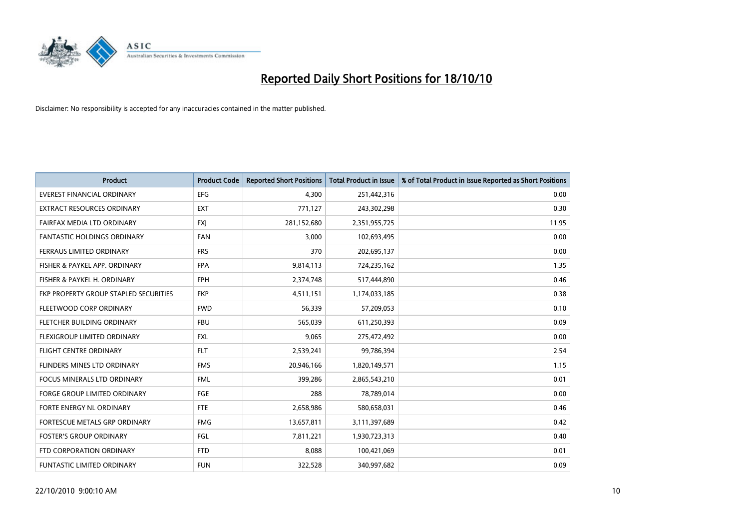

| <b>Product</b>                        | <b>Product Code</b> | <b>Reported Short Positions</b> | Total Product in Issue | % of Total Product in Issue Reported as Short Positions |
|---------------------------------------|---------------------|---------------------------------|------------------------|---------------------------------------------------------|
| <b>EVEREST FINANCIAL ORDINARY</b>     | <b>EFG</b>          | 4,300                           | 251,442,316            | 0.00                                                    |
| EXTRACT RESOURCES ORDINARY            | <b>EXT</b>          | 771,127                         | 243,302,298            | 0.30                                                    |
| FAIRFAX MEDIA LTD ORDINARY            | <b>FXJ</b>          | 281,152,680                     | 2,351,955,725          | 11.95                                                   |
| <b>FANTASTIC HOLDINGS ORDINARY</b>    | <b>FAN</b>          | 3,000                           | 102,693,495            | 0.00                                                    |
| FERRAUS LIMITED ORDINARY              | <b>FRS</b>          | 370                             | 202,695,137            | 0.00                                                    |
| FISHER & PAYKEL APP. ORDINARY         | <b>FPA</b>          | 9,814,113                       | 724,235,162            | 1.35                                                    |
| FISHER & PAYKEL H. ORDINARY           | <b>FPH</b>          | 2,374,748                       | 517,444,890            | 0.46                                                    |
| FKP PROPERTY GROUP STAPLED SECURITIES | <b>FKP</b>          | 4,511,151                       | 1,174,033,185          | 0.38                                                    |
| FLEETWOOD CORP ORDINARY               | <b>FWD</b>          | 56,339                          | 57,209,053             | 0.10                                                    |
| FLETCHER BUILDING ORDINARY            | <b>FBU</b>          | 565,039                         | 611,250,393            | 0.09                                                    |
| FLEXIGROUP LIMITED ORDINARY           | <b>FXL</b>          | 9,065                           | 275,472,492            | 0.00                                                    |
| <b>FLIGHT CENTRE ORDINARY</b>         | <b>FLT</b>          | 2,539,241                       | 99,786,394             | 2.54                                                    |
| FLINDERS MINES LTD ORDINARY           | <b>FMS</b>          | 20,946,166                      | 1,820,149,571          | 1.15                                                    |
| <b>FOCUS MINERALS LTD ORDINARY</b>    | <b>FML</b>          | 399,286                         | 2,865,543,210          | 0.01                                                    |
| <b>FORGE GROUP LIMITED ORDINARY</b>   | <b>FGE</b>          | 288                             | 78,789,014             | 0.00                                                    |
| FORTE ENERGY NL ORDINARY              | <b>FTE</b>          | 2,658,986                       | 580,658,031            | 0.46                                                    |
| FORTESCUE METALS GRP ORDINARY         | <b>FMG</b>          | 13,657,811                      | 3,111,397,689          | 0.42                                                    |
| <b>FOSTER'S GROUP ORDINARY</b>        | <b>FGL</b>          | 7,811,221                       | 1,930,723,313          | 0.40                                                    |
| FTD CORPORATION ORDINARY              | <b>FTD</b>          | 8,088                           | 100,421,069            | 0.01                                                    |
| FUNTASTIC LIMITED ORDINARY            | <b>FUN</b>          | 322,528                         | 340,997,682            | 0.09                                                    |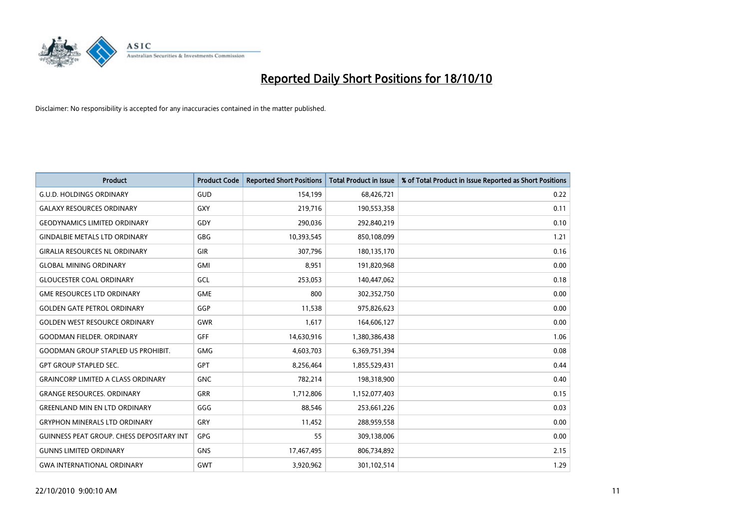

| <b>Product</b>                            | <b>Product Code</b> | <b>Reported Short Positions</b> | <b>Total Product in Issue</b> | % of Total Product in Issue Reported as Short Positions |
|-------------------------------------------|---------------------|---------------------------------|-------------------------------|---------------------------------------------------------|
| <b>G.U.D. HOLDINGS ORDINARY</b>           | GUD                 | 154,199                         | 68,426,721                    | 0.22                                                    |
| <b>GALAXY RESOURCES ORDINARY</b>          | <b>GXY</b>          | 219,716                         | 190,553,358                   | 0.11                                                    |
| <b>GEODYNAMICS LIMITED ORDINARY</b>       | GDY                 | 290,036                         | 292,840,219                   | 0.10                                                    |
| <b>GINDALBIE METALS LTD ORDINARY</b>      | <b>GBG</b>          | 10,393,545                      | 850,108,099                   | 1.21                                                    |
| <b>GIRALIA RESOURCES NL ORDINARY</b>      | <b>GIR</b>          | 307,796                         | 180,135,170                   | 0.16                                                    |
| <b>GLOBAL MINING ORDINARY</b>             | <b>GMI</b>          | 8,951                           | 191,820,968                   | 0.00                                                    |
| <b>GLOUCESTER COAL ORDINARY</b>           | GCL                 | 253,053                         | 140,447,062                   | 0.18                                                    |
| <b>GME RESOURCES LTD ORDINARY</b>         | <b>GME</b>          | 800                             | 302,352,750                   | 0.00                                                    |
| <b>GOLDEN GATE PETROL ORDINARY</b>        | GGP                 | 11,538                          | 975,826,623                   | 0.00                                                    |
| <b>GOLDEN WEST RESOURCE ORDINARY</b>      | <b>GWR</b>          | 1,617                           | 164,606,127                   | 0.00                                                    |
| <b>GOODMAN FIELDER, ORDINARY</b>          | <b>GFF</b>          | 14,630,916                      | 1,380,386,438                 | 1.06                                                    |
| <b>GOODMAN GROUP STAPLED US PROHIBIT.</b> | <b>GMG</b>          | 4,603,703                       | 6,369,751,394                 | 0.08                                                    |
| <b>GPT GROUP STAPLED SEC.</b>             | GPT                 | 8,256,464                       | 1,855,529,431                 | 0.44                                                    |
| <b>GRAINCORP LIMITED A CLASS ORDINARY</b> | <b>GNC</b>          | 782,214                         | 198,318,900                   | 0.40                                                    |
| <b>GRANGE RESOURCES, ORDINARY</b>         | <b>GRR</b>          | 1,712,806                       | 1,152,077,403                 | 0.15                                                    |
| <b>GREENLAND MIN EN LTD ORDINARY</b>      | GGG                 | 88,546                          | 253,661,226                   | 0.03                                                    |
| <b>GRYPHON MINERALS LTD ORDINARY</b>      | GRY                 | 11,452                          | 288,959,558                   | 0.00                                                    |
| GUINNESS PEAT GROUP. CHESS DEPOSITARY INT | GPG                 | 55                              | 309,138,006                   | 0.00                                                    |
| <b>GUNNS LIMITED ORDINARY</b>             | <b>GNS</b>          | 17,467,495                      | 806,734,892                   | 2.15                                                    |
| <b>GWA INTERNATIONAL ORDINARY</b>         | GWT                 | 3,920,962                       | 301,102,514                   | 1.29                                                    |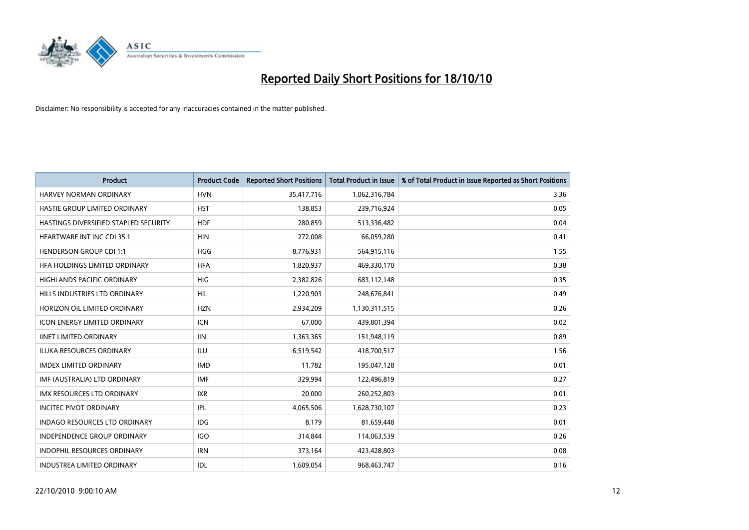

| <b>Product</b>                               | <b>Product Code</b> | <b>Reported Short Positions</b> | <b>Total Product in Issue</b> | % of Total Product in Issue Reported as Short Positions |
|----------------------------------------------|---------------------|---------------------------------|-------------------------------|---------------------------------------------------------|
| <b>HARVEY NORMAN ORDINARY</b>                | <b>HVN</b>          | 35,417,716                      | 1,062,316,784                 | 3.36                                                    |
| HASTIE GROUP LIMITED ORDINARY                | <b>HST</b>          | 138,853                         | 239,716,924                   | 0.05                                                    |
| <b>HASTINGS DIVERSIFIED STAPLED SECURITY</b> | <b>HDF</b>          | 280,859                         | 513,336,482                   | 0.04                                                    |
| HEARTWARE INT INC CDI 35:1                   | <b>HIN</b>          | 272,008                         | 66,059,280                    | 0.41                                                    |
| <b>HENDERSON GROUP CDI 1:1</b>               | <b>HGG</b>          | 8,776,931                       | 564,915,116                   | 1.55                                                    |
| HFA HOLDINGS LIMITED ORDINARY                | <b>HFA</b>          | 1,820,937                       | 469,330,170                   | 0.38                                                    |
| <b>HIGHLANDS PACIFIC ORDINARY</b>            | <b>HIG</b>          | 2,382,826                       | 683,112,148                   | 0.35                                                    |
| HILLS INDUSTRIES LTD ORDINARY                | <b>HIL</b>          | 1,220,903                       | 248,676,841                   | 0.49                                                    |
| HORIZON OIL LIMITED ORDINARY                 | <b>HZN</b>          | 2,934,209                       | 1,130,311,515                 | 0.26                                                    |
| <b>ICON ENERGY LIMITED ORDINARY</b>          | <b>ICN</b>          | 67,000                          | 439,801,394                   | 0.02                                                    |
| <b>IINET LIMITED ORDINARY</b>                | <b>IIN</b>          | 1,363,365                       | 151,948,119                   | 0.89                                                    |
| <b>ILUKA RESOURCES ORDINARY</b>              | ILU                 | 6,519,542                       | 418,700,517                   | 1.56                                                    |
| <b>IMDEX LIMITED ORDINARY</b>                | <b>IMD</b>          | 11,782                          | 195,047,128                   | 0.01                                                    |
| IMF (AUSTRALIA) LTD ORDINARY                 | <b>IMF</b>          | 329,994                         | 122,496,819                   | 0.27                                                    |
| <b>IMX RESOURCES LTD ORDINARY</b>            | <b>IXR</b>          | 20,000                          | 260,252,803                   | 0.01                                                    |
| <b>INCITEC PIVOT ORDINARY</b>                | <b>IPL</b>          | 4,065,506                       | 1,628,730,107                 | 0.23                                                    |
| <b>INDAGO RESOURCES LTD ORDINARY</b>         | <b>IDG</b>          | 8,179                           | 81,659,448                    | 0.01                                                    |
| INDEPENDENCE GROUP ORDINARY                  | <b>IGO</b>          | 314,844                         | 114,063,539                   | 0.26                                                    |
| <b>INDOPHIL RESOURCES ORDINARY</b>           | <b>IRN</b>          | 373,164                         | 423,428,803                   | 0.08                                                    |
| <b>INDUSTREA LIMITED ORDINARY</b>            | IDL                 | 1,609,054                       | 968,463,747                   | 0.16                                                    |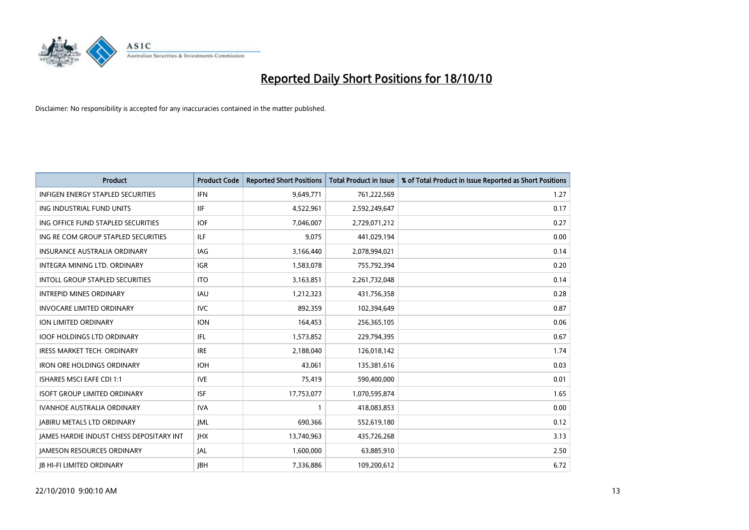

| <b>Product</b>                                  | <b>Product Code</b> | <b>Reported Short Positions</b> | <b>Total Product in Issue</b> | % of Total Product in Issue Reported as Short Positions |
|-------------------------------------------------|---------------------|---------------------------------|-------------------------------|---------------------------------------------------------|
| <b>INFIGEN ENERGY STAPLED SECURITIES</b>        | <b>IFN</b>          | 9,649,771                       | 761,222,569                   | 1.27                                                    |
| ING INDUSTRIAL FUND UNITS                       | IIF                 | 4,522,961                       | 2,592,249,647                 | 0.17                                                    |
| ING OFFICE FUND STAPLED SECURITIES              | <b>IOF</b>          | 7,046,007                       | 2,729,071,212                 | 0.27                                                    |
| ING RE COM GROUP STAPLED SECURITIES             | <b>ILF</b>          | 9,075                           | 441,029,194                   | 0.00                                                    |
| <b>INSURANCE AUSTRALIA ORDINARY</b>             | IAG                 | 3,166,440                       | 2,078,994,021                 | 0.14                                                    |
| INTEGRA MINING LTD. ORDINARY                    | <b>IGR</b>          | 1,583,078                       | 755,792,394                   | 0.20                                                    |
| <b>INTOLL GROUP STAPLED SECURITIES</b>          | <b>ITO</b>          | 3,163,851                       | 2,261,732,048                 | 0.14                                                    |
| <b>INTREPID MINES ORDINARY</b>                  | <b>IAU</b>          | 1,212,323                       | 431,756,358                   | 0.28                                                    |
| <b>INVOCARE LIMITED ORDINARY</b>                | <b>IVC</b>          | 892.359                         | 102,394,649                   | 0.87                                                    |
| ION LIMITED ORDINARY                            | <b>ION</b>          | 164,453                         | 256,365,105                   | 0.06                                                    |
| <b>IOOF HOLDINGS LTD ORDINARY</b>               | IFL.                | 1,573,852                       | 229,794,395                   | 0.67                                                    |
| <b>IRESS MARKET TECH. ORDINARY</b>              | <b>IRE</b>          | 2,188,040                       | 126,018,142                   | 1.74                                                    |
| <b>IRON ORE HOLDINGS ORDINARY</b>               | <b>IOH</b>          | 43.061                          | 135,381,616                   | 0.03                                                    |
| <b>ISHARES MSCI EAFE CDI 1:1</b>                | <b>IVE</b>          | 75,419                          | 590,400,000                   | 0.01                                                    |
| <b>ISOFT GROUP LIMITED ORDINARY</b>             | <b>ISF</b>          | 17,753,077                      | 1,070,595,874                 | 1.65                                                    |
| IVANHOE AUSTRALIA ORDINARY                      | <b>IVA</b>          |                                 | 418,083,853                   | 0.00                                                    |
| <b>JABIRU METALS LTD ORDINARY</b>               | <b>JML</b>          | 690,366                         | 552,619,180                   | 0.12                                                    |
| <b>JAMES HARDIE INDUST CHESS DEPOSITARY INT</b> | JHX                 | 13,740,963                      | 435,726,268                   | 3.13                                                    |
| <b>IAMESON RESOURCES ORDINARY</b>               | <b>JAL</b>          | 1,600,000                       | 63,885,910                    | 2.50                                                    |
| <b>JB HI-FI LIMITED ORDINARY</b>                | <b>IBH</b>          | 7,336,886                       | 109,200,612                   | 6.72                                                    |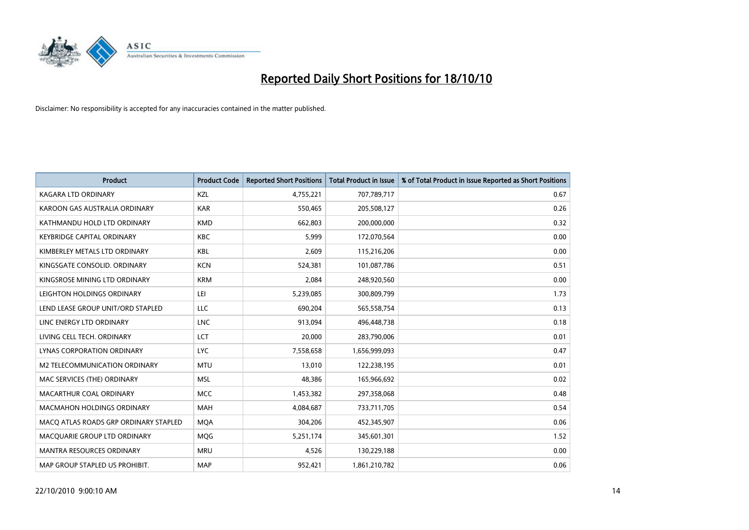

| <b>Product</b>                        | <b>Product Code</b> | <b>Reported Short Positions</b> | Total Product in Issue | % of Total Product in Issue Reported as Short Positions |
|---------------------------------------|---------------------|---------------------------------|------------------------|---------------------------------------------------------|
| <b>KAGARA LTD ORDINARY</b>            | KZL                 | 4,755,221                       | 707,789,717            | 0.67                                                    |
| KAROON GAS AUSTRALIA ORDINARY         | <b>KAR</b>          | 550,465                         | 205,508,127            | 0.26                                                    |
| KATHMANDU HOLD LTD ORDINARY           | <b>KMD</b>          | 662,803                         | 200,000,000            | 0.32                                                    |
| <b>KEYBRIDGE CAPITAL ORDINARY</b>     | <b>KBC</b>          | 5,999                           | 172,070,564            | 0.00                                                    |
| KIMBERLEY METALS LTD ORDINARY         | <b>KBL</b>          | 2,609                           | 115,216,206            | 0.00                                                    |
| KINGSGATE CONSOLID, ORDINARY          | <b>KCN</b>          | 524,381                         | 101,087,786            | 0.51                                                    |
| KINGSROSE MINING LTD ORDINARY         | <b>KRM</b>          | 2.084                           | 248,920,560            | 0.00                                                    |
| LEIGHTON HOLDINGS ORDINARY            | LEI                 | 5,239,085                       | 300,809,799            | 1.73                                                    |
| LEND LEASE GROUP UNIT/ORD STAPLED     | LLC                 | 690,204                         | 565,558,754            | 0.13                                                    |
| LINC ENERGY LTD ORDINARY              | <b>LNC</b>          | 913,094                         | 496,448,738            | 0.18                                                    |
| LIVING CELL TECH. ORDINARY            | LCT                 | 20,000                          | 283,790,006            | 0.01                                                    |
| <b>LYNAS CORPORATION ORDINARY</b>     | <b>LYC</b>          | 7,558,658                       | 1,656,999,093          | 0.47                                                    |
| M2 TELECOMMUNICATION ORDINARY         | <b>MTU</b>          | 13,010                          | 122,238,195            | 0.01                                                    |
| MAC SERVICES (THE) ORDINARY           | <b>MSL</b>          | 48,386                          | 165,966,692            | 0.02                                                    |
| MACARTHUR COAL ORDINARY               | <b>MCC</b>          | 1,453,382                       | 297,358,068            | 0.48                                                    |
| MACMAHON HOLDINGS ORDINARY            | MAH                 | 4,084,687                       | 733,711,705            | 0.54                                                    |
| MACO ATLAS ROADS GRP ORDINARY STAPLED | <b>MQA</b>          | 304,206                         | 452,345,907            | 0.06                                                    |
| MACQUARIE GROUP LTD ORDINARY          | MQG                 | 5,251,174                       | 345,601,301            | 1.52                                                    |
| <b>MANTRA RESOURCES ORDINARY</b>      | <b>MRU</b>          | 4,526                           | 130,229,188            | 0.00                                                    |
| MAP GROUP STAPLED US PROHIBIT.        | <b>MAP</b>          | 952,421                         | 1,861,210,782          | 0.06                                                    |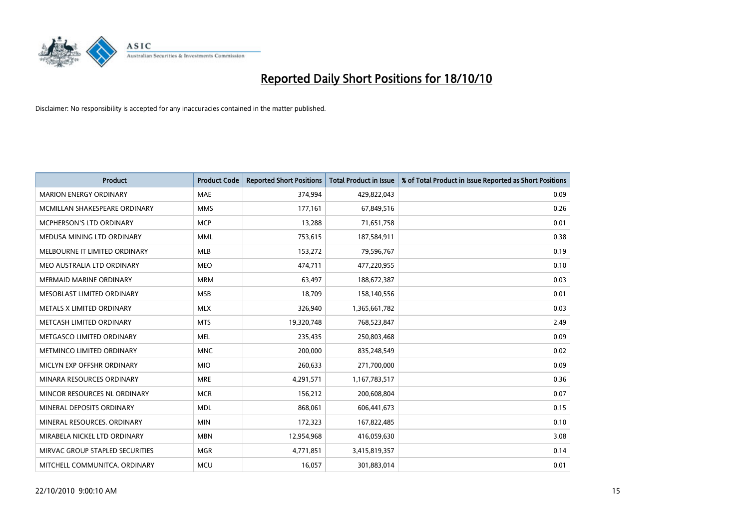

| <b>Product</b>                  | <b>Product Code</b> | <b>Reported Short Positions</b> | <b>Total Product in Issue</b> | % of Total Product in Issue Reported as Short Positions |
|---------------------------------|---------------------|---------------------------------|-------------------------------|---------------------------------------------------------|
| <b>MARION ENERGY ORDINARY</b>   | <b>MAE</b>          | 374,994                         | 429,822,043                   | 0.09                                                    |
| MCMILLAN SHAKESPEARE ORDINARY   | <b>MMS</b>          | 177,161                         | 67,849,516                    | 0.26                                                    |
| <b>MCPHERSON'S LTD ORDINARY</b> | <b>MCP</b>          | 13,288                          | 71,651,758                    | 0.01                                                    |
| MEDUSA MINING LTD ORDINARY      | <b>MML</b>          | 753,615                         | 187,584,911                   | 0.38                                                    |
| MELBOURNE IT LIMITED ORDINARY   | <b>MLB</b>          | 153,272                         | 79,596,767                    | 0.19                                                    |
| MEO AUSTRALIA LTD ORDINARY      | <b>MEO</b>          | 474,711                         | 477,220,955                   | 0.10                                                    |
| <b>MERMAID MARINE ORDINARY</b>  | <b>MRM</b>          | 63,497                          | 188,672,387                   | 0.03                                                    |
| MESOBLAST LIMITED ORDINARY      | <b>MSB</b>          | 18,709                          | 158,140,556                   | 0.01                                                    |
| METALS X LIMITED ORDINARY       | <b>MLX</b>          | 326,940                         | 1,365,661,782                 | 0.03                                                    |
| METCASH LIMITED ORDINARY        | <b>MTS</b>          | 19,320,748                      | 768,523,847                   | 2.49                                                    |
| METGASCO LIMITED ORDINARY       | <b>MEL</b>          | 235,435                         | 250,803,468                   | 0.09                                                    |
| METMINCO LIMITED ORDINARY       | <b>MNC</b>          | 200,000                         | 835,248,549                   | 0.02                                                    |
| MICLYN EXP OFFSHR ORDINARY      | <b>MIO</b>          | 260,633                         | 271,700,000                   | 0.09                                                    |
| MINARA RESOURCES ORDINARY       | <b>MRE</b>          | 4,291,571                       | 1,167,783,517                 | 0.36                                                    |
| MINCOR RESOURCES NL ORDINARY    | <b>MCR</b>          | 156,212                         | 200,608,804                   | 0.07                                                    |
| MINERAL DEPOSITS ORDINARY       | <b>MDL</b>          | 868,061                         | 606,441,673                   | 0.15                                                    |
| MINERAL RESOURCES. ORDINARY     | <b>MIN</b>          | 172,323                         | 167,822,485                   | 0.10                                                    |
| MIRABELA NICKEL LTD ORDINARY    | <b>MBN</b>          | 12,954,968                      | 416,059,630                   | 3.08                                                    |
| MIRVAC GROUP STAPLED SECURITIES | <b>MGR</b>          | 4,771,851                       | 3,415,819,357                 | 0.14                                                    |
| MITCHELL COMMUNITCA. ORDINARY   | <b>MCU</b>          | 16,057                          | 301,883,014                   | 0.01                                                    |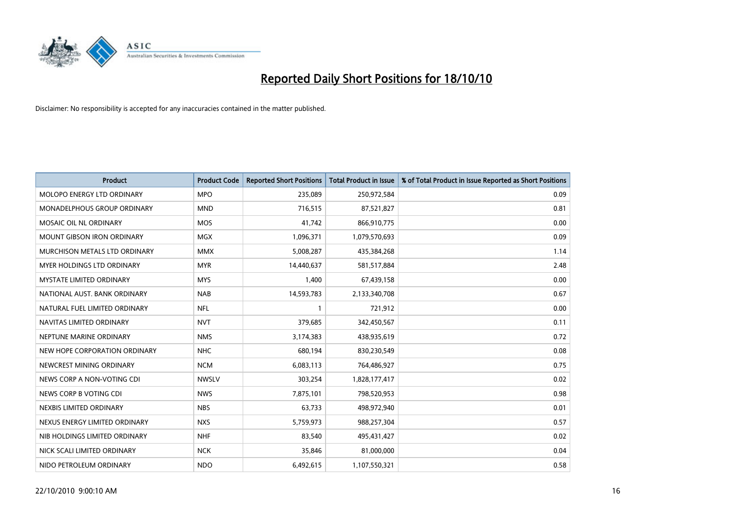

| <b>Product</b>                    | <b>Product Code</b> | <b>Reported Short Positions</b> | Total Product in Issue | % of Total Product in Issue Reported as Short Positions |
|-----------------------------------|---------------------|---------------------------------|------------------------|---------------------------------------------------------|
| <b>MOLOPO ENERGY LTD ORDINARY</b> | <b>MPO</b>          | 235,089                         | 250,972,584            | 0.09                                                    |
| MONADELPHOUS GROUP ORDINARY       | <b>MND</b>          | 716,515                         | 87,521,827             | 0.81                                                    |
| MOSAIC OIL NL ORDINARY            | <b>MOS</b>          | 41,742                          | 866,910,775            | 0.00                                                    |
| MOUNT GIBSON IRON ORDINARY        | <b>MGX</b>          | 1,096,371                       | 1,079,570,693          | 0.09                                                    |
| MURCHISON METALS LTD ORDINARY     | <b>MMX</b>          | 5,008,287                       | 435,384,268            | 1.14                                                    |
| <b>MYER HOLDINGS LTD ORDINARY</b> | <b>MYR</b>          | 14,440,637                      | 581,517,884            | 2.48                                                    |
| <b>MYSTATE LIMITED ORDINARY</b>   | <b>MYS</b>          | 1,400                           | 67,439,158             | 0.00                                                    |
| NATIONAL AUST. BANK ORDINARY      | <b>NAB</b>          | 14,593,783                      | 2,133,340,708          | 0.67                                                    |
| NATURAL FUEL LIMITED ORDINARY     | <b>NFL</b>          |                                 | 721,912                | 0.00                                                    |
| NAVITAS LIMITED ORDINARY          | <b>NVT</b>          | 379,685                         | 342,450,567            | 0.11                                                    |
| NEPTUNE MARINE ORDINARY           | <b>NMS</b>          | 3,174,383                       | 438,935,619            | 0.72                                                    |
| NEW HOPE CORPORATION ORDINARY     | <b>NHC</b>          | 680,194                         | 830,230,549            | 0.08                                                    |
| NEWCREST MINING ORDINARY          | <b>NCM</b>          | 6,083,113                       | 764,486,927            | 0.75                                                    |
| NEWS CORP A NON-VOTING CDI        | <b>NWSLV</b>        | 303,254                         | 1,828,177,417          | 0.02                                                    |
| NEWS CORP B VOTING CDI            | <b>NWS</b>          | 7,875,101                       | 798,520,953            | 0.98                                                    |
| NEXBIS LIMITED ORDINARY           | <b>NBS</b>          | 63,733                          | 498,972,940            | 0.01                                                    |
| NEXUS ENERGY LIMITED ORDINARY     | <b>NXS</b>          | 5,759,973                       | 988,257,304            | 0.57                                                    |
| NIB HOLDINGS LIMITED ORDINARY     | <b>NHF</b>          | 83,540                          | 495,431,427            | 0.02                                                    |
| NICK SCALI LIMITED ORDINARY       | <b>NCK</b>          | 35,846                          | 81,000,000             | 0.04                                                    |
| NIDO PETROLEUM ORDINARY           | <b>NDO</b>          | 6,492,615                       | 1,107,550,321          | 0.58                                                    |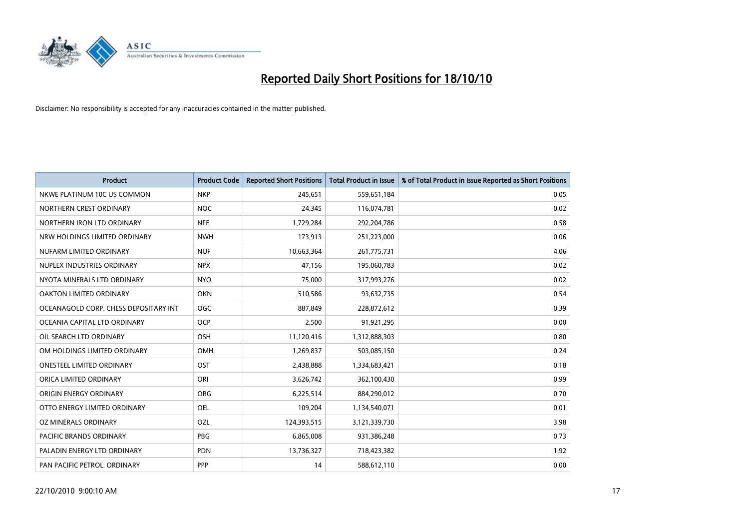

| <b>Product</b>                        | <b>Product Code</b> | <b>Reported Short Positions</b> | <b>Total Product in Issue</b> | % of Total Product in Issue Reported as Short Positions |
|---------------------------------------|---------------------|---------------------------------|-------------------------------|---------------------------------------------------------|
| NKWE PLATINUM 10C US COMMON           | <b>NKP</b>          | 245,651                         | 559,651,184                   | 0.05                                                    |
| NORTHERN CREST ORDINARY               | <b>NOC</b>          | 24,345                          | 116,074,781                   | 0.02                                                    |
| NORTHERN IRON LTD ORDINARY            | <b>NFE</b>          | 1,729,284                       | 292,204,786                   | 0.58                                                    |
| NRW HOLDINGS LIMITED ORDINARY         | <b>NWH</b>          | 173,913                         | 251,223,000                   | 0.06                                                    |
| NUFARM LIMITED ORDINARY               | <b>NUF</b>          | 10,663,364                      | 261,775,731                   | 4.06                                                    |
| NUPLEX INDUSTRIES ORDINARY            | <b>NPX</b>          | 47,156                          | 195,060,783                   | 0.02                                                    |
| NYOTA MINERALS LTD ORDINARY           | <b>NYO</b>          | 75,000                          | 317,993,276                   | 0.02                                                    |
| OAKTON LIMITED ORDINARY               | <b>OKN</b>          | 510,586                         | 93,632,735                    | 0.54                                                    |
| OCEANAGOLD CORP. CHESS DEPOSITARY INT | OGC                 | 887,849                         | 228,872,612                   | 0.39                                                    |
| OCEANIA CAPITAL LTD ORDINARY          | OCP                 | 2,500                           | 91,921,295                    | 0.00                                                    |
| OIL SEARCH LTD ORDINARY               | <b>OSH</b>          | 11,120,416                      | 1,312,888,303                 | 0.80                                                    |
| OM HOLDINGS LIMITED ORDINARY          | OMH                 | 1,269,837                       | 503,085,150                   | 0.24                                                    |
| <b>ONESTEEL LIMITED ORDINARY</b>      | OST                 | 2,438,888                       | 1,334,683,421                 | 0.18                                                    |
| ORICA LIMITED ORDINARY                | ORI                 | 3,626,742                       | 362,100,430                   | 0.99                                                    |
| ORIGIN ENERGY ORDINARY                | <b>ORG</b>          | 6,225,514                       | 884,290,012                   | 0.70                                                    |
| OTTO ENERGY LIMITED ORDINARY          | <b>OEL</b>          | 109,204                         | 1,134,540,071                 | 0.01                                                    |
| OZ MINERALS ORDINARY                  | OZL                 | 124,393,515                     | 3,121,339,730                 | 3.98                                                    |
| <b>PACIFIC BRANDS ORDINARY</b>        | <b>PBG</b>          | 6,865,008                       | 931,386,248                   | 0.73                                                    |
| PALADIN ENERGY LTD ORDINARY           | PDN                 | 13,736,327                      | 718,423,382                   | 1.92                                                    |
| PAN PACIFIC PETROL. ORDINARY          | PPP                 | 14                              | 588,612,110                   | 0.00                                                    |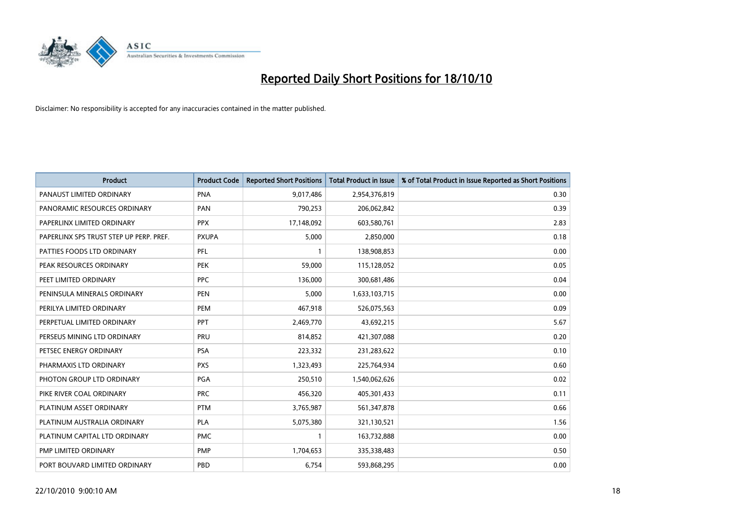

| <b>Product</b>                          | <b>Product Code</b> | <b>Reported Short Positions</b> | <b>Total Product in Issue</b> | % of Total Product in Issue Reported as Short Positions |
|-----------------------------------------|---------------------|---------------------------------|-------------------------------|---------------------------------------------------------|
| PANAUST LIMITED ORDINARY                | <b>PNA</b>          | 9,017,486                       | 2,954,376,819                 | 0.30                                                    |
| PANORAMIC RESOURCES ORDINARY            | PAN                 | 790,253                         | 206,062,842                   | 0.39                                                    |
| PAPERLINX LIMITED ORDINARY              | <b>PPX</b>          | 17,148,092                      | 603,580,761                   | 2.83                                                    |
| PAPERLINX SPS TRUST STEP UP PERP. PREF. | <b>PXUPA</b>        | 5,000                           | 2,850,000                     | 0.18                                                    |
| PATTIES FOODS LTD ORDINARY              | PFL                 |                                 | 138,908,853                   | 0.00                                                    |
| PEAK RESOURCES ORDINARY                 | <b>PEK</b>          | 59,000                          | 115,128,052                   | 0.05                                                    |
| PEET LIMITED ORDINARY                   | <b>PPC</b>          | 136,000                         | 300,681,486                   | 0.04                                                    |
| PENINSULA MINERALS ORDINARY             | <b>PEN</b>          | 5,000                           | 1,633,103,715                 | 0.00                                                    |
| PERILYA LIMITED ORDINARY                | PEM                 | 467,918                         | 526,075,563                   | 0.09                                                    |
| PERPETUAL LIMITED ORDINARY              | <b>PPT</b>          | 2,469,770                       | 43,692,215                    | 5.67                                                    |
| PERSEUS MINING LTD ORDINARY             | PRU                 | 814,852                         | 421,307,088                   | 0.20                                                    |
| PETSEC ENERGY ORDINARY                  | <b>PSA</b>          | 223,332                         | 231,283,622                   | 0.10                                                    |
| PHARMAXIS LTD ORDINARY                  | <b>PXS</b>          | 1,323,493                       | 225,764,934                   | 0.60                                                    |
| PHOTON GROUP LTD ORDINARY               | PGA                 | 250,510                         | 1,540,062,626                 | 0.02                                                    |
| PIKE RIVER COAL ORDINARY                | <b>PRC</b>          | 456,320                         | 405,301,433                   | 0.11                                                    |
| PLATINUM ASSET ORDINARY                 | <b>PTM</b>          | 3,765,987                       | 561,347,878                   | 0.66                                                    |
| PLATINUM AUSTRALIA ORDINARY             | <b>PLA</b>          | 5,075,380                       | 321,130,521                   | 1.56                                                    |
| PLATINUM CAPITAL LTD ORDINARY           | <b>PMC</b>          |                                 | 163,732,888                   | 0.00                                                    |
| PMP LIMITED ORDINARY                    | <b>PMP</b>          | 1,704,653                       | 335,338,483                   | 0.50                                                    |
| PORT BOUVARD LIMITED ORDINARY           | PBD                 | 6,754                           | 593,868,295                   | 0.00                                                    |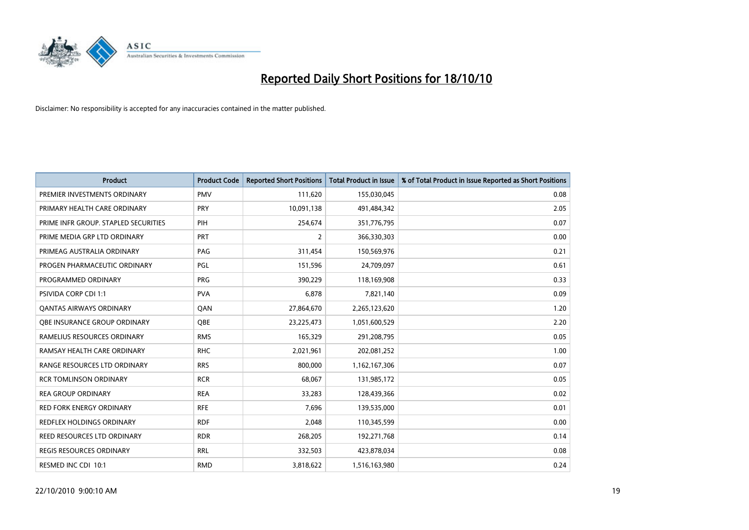

| <b>Product</b>                       | <b>Product Code</b> | <b>Reported Short Positions</b> | <b>Total Product in Issue</b> | % of Total Product in Issue Reported as Short Positions |
|--------------------------------------|---------------------|---------------------------------|-------------------------------|---------------------------------------------------------|
| PREMIER INVESTMENTS ORDINARY         | <b>PMV</b>          | 111,620                         | 155,030,045                   | 0.08                                                    |
| PRIMARY HEALTH CARE ORDINARY         | <b>PRY</b>          | 10,091,138                      | 491,484,342                   | 2.05                                                    |
| PRIME INFR GROUP. STAPLED SECURITIES | PIH                 | 254,674                         | 351,776,795                   | 0.07                                                    |
| PRIME MEDIA GRP LTD ORDINARY         | <b>PRT</b>          | $\overline{2}$                  | 366,330,303                   | 0.00                                                    |
| PRIMEAG AUSTRALIA ORDINARY           | PAG                 | 311,454                         | 150,569,976                   | 0.21                                                    |
| PROGEN PHARMACEUTIC ORDINARY         | PGL                 | 151,596                         | 24,709,097                    | 0.61                                                    |
| PROGRAMMED ORDINARY                  | PRG                 | 390.229                         | 118,169,908                   | 0.33                                                    |
| <b>PSIVIDA CORP CDI 1:1</b>          | <b>PVA</b>          | 6,878                           | 7,821,140                     | 0.09                                                    |
| <b>QANTAS AIRWAYS ORDINARY</b>       | QAN                 | 27,864,670                      | 2,265,123,620                 | 1.20                                                    |
| OBE INSURANCE GROUP ORDINARY         | <b>OBE</b>          | 23,225,473                      | 1,051,600,529                 | 2.20                                                    |
| RAMELIUS RESOURCES ORDINARY          | <b>RMS</b>          | 165,329                         | 291,208,795                   | 0.05                                                    |
| RAMSAY HEALTH CARE ORDINARY          | <b>RHC</b>          | 2,021,961                       | 202,081,252                   | 1.00                                                    |
| RANGE RESOURCES LTD ORDINARY         | <b>RRS</b>          | 800,000                         | 1,162,167,306                 | 0.07                                                    |
| <b>RCR TOMLINSON ORDINARY</b>        | <b>RCR</b>          | 68,067                          | 131,985,172                   | 0.05                                                    |
| <b>REA GROUP ORDINARY</b>            | <b>REA</b>          | 33,283                          | 128,439,366                   | 0.02                                                    |
| RED FORK ENERGY ORDINARY             | <b>RFE</b>          | 7,696                           | 139,535,000                   | 0.01                                                    |
| <b>REDFLEX HOLDINGS ORDINARY</b>     | <b>RDF</b>          | 2,048                           | 110,345,599                   | 0.00                                                    |
| REED RESOURCES LTD ORDINARY          | <b>RDR</b>          | 268,205                         | 192,271,768                   | 0.14                                                    |
| <b>REGIS RESOURCES ORDINARY</b>      | <b>RRL</b>          | 332,503                         | 423,878,034                   | 0.08                                                    |
| RESMED INC CDI 10:1                  | <b>RMD</b>          | 3,818,622                       | 1,516,163,980                 | 0.24                                                    |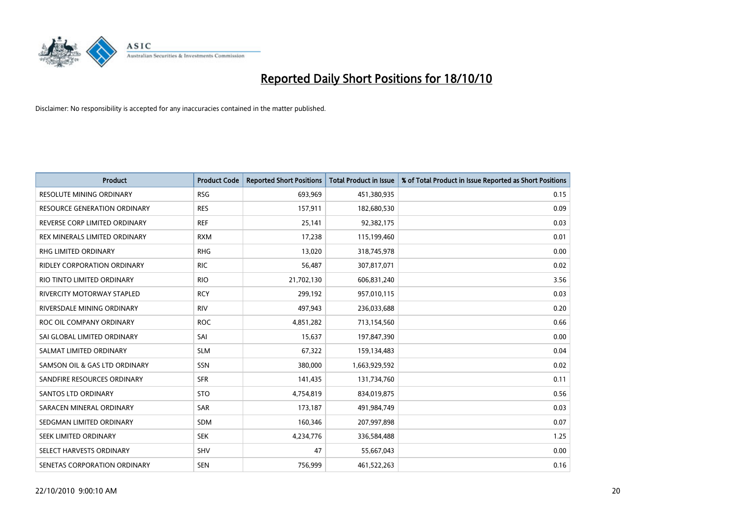

| <b>Product</b>                      | <b>Product Code</b> | <b>Reported Short Positions</b> | <b>Total Product in Issue</b> | % of Total Product in Issue Reported as Short Positions |
|-------------------------------------|---------------------|---------------------------------|-------------------------------|---------------------------------------------------------|
| <b>RESOLUTE MINING ORDINARY</b>     | <b>RSG</b>          | 693,969                         | 451,380,935                   | 0.15                                                    |
| <b>RESOURCE GENERATION ORDINARY</b> | <b>RES</b>          | 157,911                         | 182,680,530                   | 0.09                                                    |
| REVERSE CORP LIMITED ORDINARY       | <b>REF</b>          | 25,141                          | 92,382,175                    | 0.03                                                    |
| REX MINERALS LIMITED ORDINARY       | <b>RXM</b>          | 17,238                          | 115,199,460                   | 0.01                                                    |
| <b>RHG LIMITED ORDINARY</b>         | <b>RHG</b>          | 13,020                          | 318,745,978                   | 0.00                                                    |
| RIDLEY CORPORATION ORDINARY         | <b>RIC</b>          | 56,487                          | 307,817,071                   | 0.02                                                    |
| RIO TINTO LIMITED ORDINARY          | <b>RIO</b>          | 21,702,130                      | 606,831,240                   | 3.56                                                    |
| <b>RIVERCITY MOTORWAY STAPLED</b>   | <b>RCY</b>          | 299,192                         | 957,010,115                   | 0.03                                                    |
| RIVERSDALE MINING ORDINARY          | <b>RIV</b>          | 497,943                         | 236,033,688                   | 0.20                                                    |
| ROC OIL COMPANY ORDINARY            | <b>ROC</b>          | 4,851,282                       | 713,154,560                   | 0.66                                                    |
| SAI GLOBAL LIMITED ORDINARY         | SAI                 | 15,637                          | 197,847,390                   | 0.00                                                    |
| SALMAT LIMITED ORDINARY             | <b>SLM</b>          | 67,322                          | 159,134,483                   | 0.04                                                    |
| SAMSON OIL & GAS LTD ORDINARY       | <b>SSN</b>          | 380,000                         | 1,663,929,592                 | 0.02                                                    |
| SANDFIRE RESOURCES ORDINARY         | <b>SFR</b>          | 141,435                         | 131,734,760                   | 0.11                                                    |
| SANTOS LTD ORDINARY                 | <b>STO</b>          | 4,754,819                       | 834,019,875                   | 0.56                                                    |
| SARACEN MINERAL ORDINARY            | <b>SAR</b>          | 173,187                         | 491,984,749                   | 0.03                                                    |
| SEDGMAN LIMITED ORDINARY            | <b>SDM</b>          | 160,346                         | 207,997,898                   | 0.07                                                    |
| SEEK LIMITED ORDINARY               | <b>SEK</b>          | 4,234,776                       | 336,584,488                   | 1.25                                                    |
| SELECT HARVESTS ORDINARY            | <b>SHV</b>          | 47                              | 55,667,043                    | 0.00                                                    |
| SENETAS CORPORATION ORDINARY        | <b>SEN</b>          | 756,999                         | 461,522,263                   | 0.16                                                    |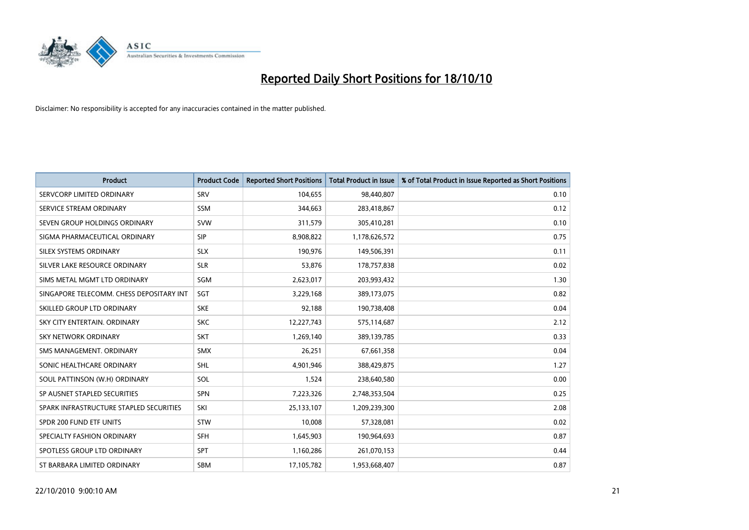

| <b>Product</b>                           | <b>Product Code</b> | <b>Reported Short Positions</b> | <b>Total Product in Issue</b> | % of Total Product in Issue Reported as Short Positions |
|------------------------------------------|---------------------|---------------------------------|-------------------------------|---------------------------------------------------------|
| SERVCORP LIMITED ORDINARY                | SRV                 | 104,655                         | 98,440,807                    | 0.10                                                    |
| SERVICE STREAM ORDINARY                  | <b>SSM</b>          | 344,663                         | 283,418,867                   | 0.12                                                    |
| SEVEN GROUP HOLDINGS ORDINARY            | <b>SVW</b>          | 311,579                         | 305,410,281                   | 0.10                                                    |
| SIGMA PHARMACEUTICAL ORDINARY            | <b>SIP</b>          | 8,908,822                       | 1,178,626,572                 | 0.75                                                    |
| SILEX SYSTEMS ORDINARY                   | <b>SLX</b>          | 190,976                         | 149,506,391                   | 0.11                                                    |
| SILVER LAKE RESOURCE ORDINARY            | <b>SLR</b>          | 53,876                          | 178,757,838                   | 0.02                                                    |
| SIMS METAL MGMT LTD ORDINARY             | SGM                 | 2,623,017                       | 203,993,432                   | 1.30                                                    |
| SINGAPORE TELECOMM. CHESS DEPOSITARY INT | SGT                 | 3,229,168                       | 389,173,075                   | 0.82                                                    |
| SKILLED GROUP LTD ORDINARY               | <b>SKE</b>          | 92,188                          | 190,738,408                   | 0.04                                                    |
| SKY CITY ENTERTAIN, ORDINARY             | <b>SKC</b>          | 12,227,743                      | 575,114,687                   | 2.12                                                    |
| SKY NETWORK ORDINARY                     | <b>SKT</b>          | 1,269,140                       | 389,139,785                   | 0.33                                                    |
| SMS MANAGEMENT, ORDINARY                 | <b>SMX</b>          | 26,251                          | 67,661,358                    | 0.04                                                    |
| SONIC HEALTHCARE ORDINARY                | SHL                 | 4,901,946                       | 388,429,875                   | 1.27                                                    |
| SOUL PATTINSON (W.H) ORDINARY            | SOL                 | 1,524                           | 238,640,580                   | 0.00                                                    |
| SP AUSNET STAPLED SECURITIES             | SPN                 | 7,223,326                       | 2,748,353,504                 | 0.25                                                    |
| SPARK INFRASTRUCTURE STAPLED SECURITIES  | SKI                 | 25,133,107                      | 1,209,239,300                 | 2.08                                                    |
| SPDR 200 FUND ETF UNITS                  | <b>STW</b>          | 10,008                          | 57,328,081                    | 0.02                                                    |
| SPECIALTY FASHION ORDINARY               | <b>SFH</b>          | 1,645,903                       | 190,964,693                   | 0.87                                                    |
| SPOTLESS GROUP LTD ORDINARY              | <b>SPT</b>          | 1,160,286                       | 261,070,153                   | 0.44                                                    |
| ST BARBARA LIMITED ORDINARY              | SBM                 | 17,105,782                      | 1,953,668,407                 | 0.87                                                    |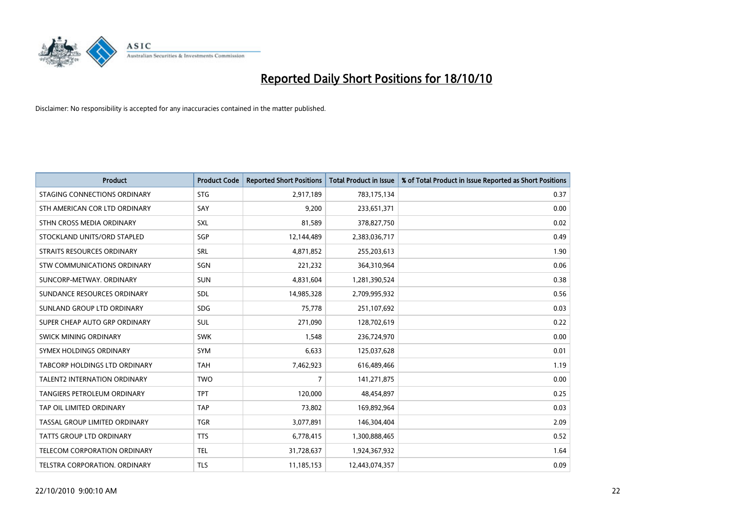

| <b>Product</b>                       | <b>Product Code</b> | <b>Reported Short Positions</b> | <b>Total Product in Issue</b> | % of Total Product in Issue Reported as Short Positions |
|--------------------------------------|---------------------|---------------------------------|-------------------------------|---------------------------------------------------------|
| STAGING CONNECTIONS ORDINARY         | <b>STG</b>          | 2,917,189                       | 783,175,134                   | 0.37                                                    |
| STH AMERICAN COR LTD ORDINARY        | SAY                 | 9,200                           | 233,651,371                   | 0.00                                                    |
| STHN CROSS MEDIA ORDINARY            | SXL                 | 81,589                          | 378,827,750                   | 0.02                                                    |
| STOCKLAND UNITS/ORD STAPLED          | SGP                 | 12,144,489                      | 2,383,036,717                 | 0.49                                                    |
| <b>STRAITS RESOURCES ORDINARY</b>    | SRL                 | 4,871,852                       | 255,203,613                   | 1.90                                                    |
| STW COMMUNICATIONS ORDINARY          | SGN                 | 221,232                         | 364,310,964                   | 0.06                                                    |
| SUNCORP-METWAY, ORDINARY             | <b>SUN</b>          | 4,831,604                       | 1,281,390,524                 | 0.38                                                    |
| SUNDANCE RESOURCES ORDINARY          | SDL                 | 14,985,328                      | 2,709,995,932                 | 0.56                                                    |
| SUNLAND GROUP LTD ORDINARY           | <b>SDG</b>          | 75,778                          | 251,107,692                   | 0.03                                                    |
| SUPER CHEAP AUTO GRP ORDINARY        | <b>SUL</b>          | 271,090                         | 128,702,619                   | 0.22                                                    |
| SWICK MINING ORDINARY                | <b>SWK</b>          | 1,548                           | 236,724,970                   | 0.00                                                    |
| SYMEX HOLDINGS ORDINARY              | <b>SYM</b>          | 6,633                           | 125,037,628                   | 0.01                                                    |
| <b>TABCORP HOLDINGS LTD ORDINARY</b> | <b>TAH</b>          | 7,462,923                       | 616,489,466                   | 1.19                                                    |
| <b>TALENT2 INTERNATION ORDINARY</b>  | <b>TWO</b>          | 7                               | 141,271,875                   | 0.00                                                    |
| <b>TANGIERS PETROLEUM ORDINARY</b>   | <b>TPT</b>          | 120,000                         | 48,454,897                    | 0.25                                                    |
| TAP OIL LIMITED ORDINARY             | <b>TAP</b>          | 73,802                          | 169,892,964                   | 0.03                                                    |
| TASSAL GROUP LIMITED ORDINARY        | <b>TGR</b>          | 3,077,891                       | 146,304,404                   | 2.09                                                    |
| TATTS GROUP LTD ORDINARY             | <b>TTS</b>          | 6,778,415                       | 1,300,888,465                 | 0.52                                                    |
| TELECOM CORPORATION ORDINARY         | <b>TEL</b>          | 31,728,637                      | 1,924,367,932                 | 1.64                                                    |
| TELSTRA CORPORATION, ORDINARY        | <b>TLS</b>          | 11,185,153                      | 12,443,074,357                | 0.09                                                    |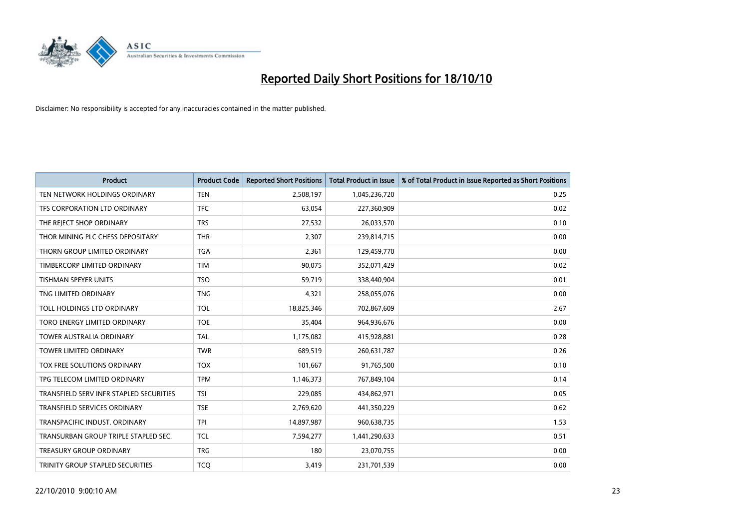

| <b>Product</b>                          | <b>Product Code</b> | <b>Reported Short Positions</b> | <b>Total Product in Issue</b> | % of Total Product in Issue Reported as Short Positions |
|-----------------------------------------|---------------------|---------------------------------|-------------------------------|---------------------------------------------------------|
| TEN NETWORK HOLDINGS ORDINARY           | <b>TEN</b>          | 2,508,197                       | 1,045,236,720                 | 0.25                                                    |
| TFS CORPORATION LTD ORDINARY            | <b>TFC</b>          | 63,054                          | 227,360,909                   | 0.02                                                    |
| THE REJECT SHOP ORDINARY                | <b>TRS</b>          | 27,532                          | 26,033,570                    | 0.10                                                    |
| THOR MINING PLC CHESS DEPOSITARY        | <b>THR</b>          | 2,307                           | 239,814,715                   | 0.00                                                    |
| THORN GROUP LIMITED ORDINARY            | <b>TGA</b>          | 2,361                           | 129,459,770                   | 0.00                                                    |
| TIMBERCORP LIMITED ORDINARY             | <b>TIM</b>          | 90,075                          | 352,071,429                   | 0.02                                                    |
| <b>TISHMAN SPEYER UNITS</b>             | <b>TSO</b>          | 59.719                          | 338,440,904                   | 0.01                                                    |
| TNG LIMITED ORDINARY                    | <b>TNG</b>          | 4,321                           | 258,055,076                   | 0.00                                                    |
| TOLL HOLDINGS LTD ORDINARY              | <b>TOL</b>          | 18,825,346                      | 702,867,609                   | 2.67                                                    |
| TORO ENERGY LIMITED ORDINARY            | <b>TOE</b>          | 35,404                          | 964,936,676                   | 0.00                                                    |
| <b>TOWER AUSTRALIA ORDINARY</b>         | <b>TAL</b>          | 1,175,082                       | 415,928,881                   | 0.28                                                    |
| <b>TOWER LIMITED ORDINARY</b>           | <b>TWR</b>          | 689,519                         | 260,631,787                   | 0.26                                                    |
| TOX FREE SOLUTIONS ORDINARY             | <b>TOX</b>          | 101,667                         | 91,765,500                    | 0.10                                                    |
| TPG TELECOM LIMITED ORDINARY            | <b>TPM</b>          | 1,146,373                       | 767,849,104                   | 0.14                                                    |
| TRANSFIELD SERV INFR STAPLED SECURITIES | <b>TSI</b>          | 229,085                         | 434,862,971                   | 0.05                                                    |
| TRANSFIELD SERVICES ORDINARY            | <b>TSE</b>          | 2,769,620                       | 441,350,229                   | 0.62                                                    |
| TRANSPACIFIC INDUST, ORDINARY           | <b>TPI</b>          | 14,897,987                      | 960,638,735                   | 1.53                                                    |
| TRANSURBAN GROUP TRIPLE STAPLED SEC.    | <b>TCL</b>          | 7,594,277                       | 1,441,290,633                 | 0.51                                                    |
| <b>TREASURY GROUP ORDINARY</b>          | <b>TRG</b>          | 180                             | 23,070,755                    | 0.00                                                    |
| <b>TRINITY GROUP STAPLED SECURITIES</b> | <b>TCO</b>          | 3,419                           | 231,701,539                   | 0.00                                                    |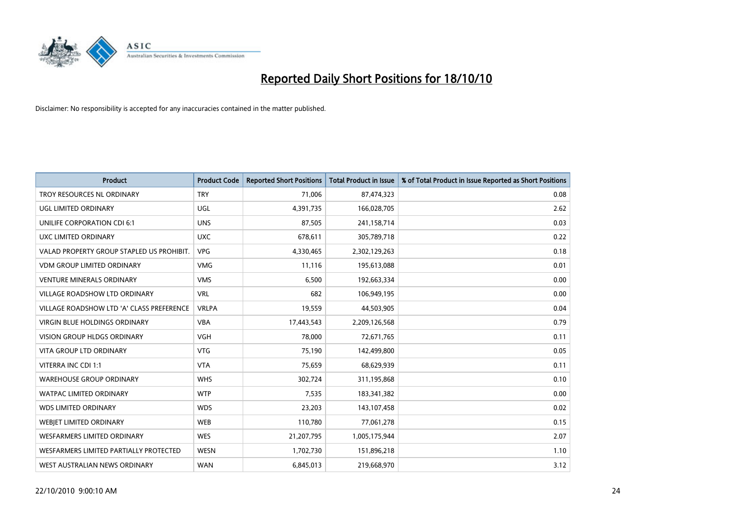

| <b>Product</b>                            | <b>Product Code</b> | <b>Reported Short Positions</b> | Total Product in Issue | % of Total Product in Issue Reported as Short Positions |
|-------------------------------------------|---------------------|---------------------------------|------------------------|---------------------------------------------------------|
| <b>TROY RESOURCES NL ORDINARY</b>         | <b>TRY</b>          | 71,006                          | 87,474,323             | 0.08                                                    |
| UGL LIMITED ORDINARY                      | UGL                 | 4,391,735                       | 166,028,705            | 2.62                                                    |
| <b>UNILIFE CORPORATION CDI 6:1</b>        | <b>UNS</b>          | 87,505                          | 241,158,714            | 0.03                                                    |
| UXC LIMITED ORDINARY                      | <b>UXC</b>          | 678,611                         | 305,789,718            | 0.22                                                    |
| VALAD PROPERTY GROUP STAPLED US PROHIBIT. | <b>VPG</b>          | 4,330,465                       | 2,302,129,263          | 0.18                                                    |
| <b>VDM GROUP LIMITED ORDINARY</b>         | <b>VMG</b>          | 11,116                          | 195,613,088            | 0.01                                                    |
| <b>VENTURE MINERALS ORDINARY</b>          | <b>VMS</b>          | 6,500                           | 192,663,334            | 0.00                                                    |
| VILLAGE ROADSHOW LTD ORDINARY             | <b>VRL</b>          | 682                             | 106,949,195            | 0.00                                                    |
| VILLAGE ROADSHOW LTD 'A' CLASS PREFERENCE | <b>VRLPA</b>        | 19,559                          | 44,503,905             | 0.04                                                    |
| <b>VIRGIN BLUE HOLDINGS ORDINARY</b>      | <b>VBA</b>          | 17,443,543                      | 2,209,126,568          | 0.79                                                    |
| VISION GROUP HLDGS ORDINARY               | <b>VGH</b>          | 78,000                          | 72,671,765             | 0.11                                                    |
| <b>VITA GROUP LTD ORDINARY</b>            | <b>VTG</b>          | 75,190                          | 142,499,800            | 0.05                                                    |
| VITERRA INC CDI 1:1                       | <b>VTA</b>          | 75,659                          | 68,629,939             | 0.11                                                    |
| <b>WAREHOUSE GROUP ORDINARY</b>           | <b>WHS</b>          | 302,724                         | 311,195,868            | 0.10                                                    |
| <b>WATPAC LIMITED ORDINARY</b>            | <b>WTP</b>          | 7,535                           | 183,341,382            | 0.00                                                    |
| <b>WDS LIMITED ORDINARY</b>               | <b>WDS</b>          | 23,203                          | 143,107,458            | 0.02                                                    |
| WEBIET LIMITED ORDINARY                   | <b>WEB</b>          | 110,780                         | 77,061,278             | 0.15                                                    |
| <b>WESFARMERS LIMITED ORDINARY</b>        | <b>WES</b>          | 21,207,795                      | 1,005,175,944          | 2.07                                                    |
| WESFARMERS LIMITED PARTIALLY PROTECTED    | <b>WESN</b>         | 1,702,730                       | 151,896,218            | 1.10                                                    |
| WEST AUSTRALIAN NEWS ORDINARY             | <b>WAN</b>          | 6,845,013                       | 219,668,970            | 3.12                                                    |